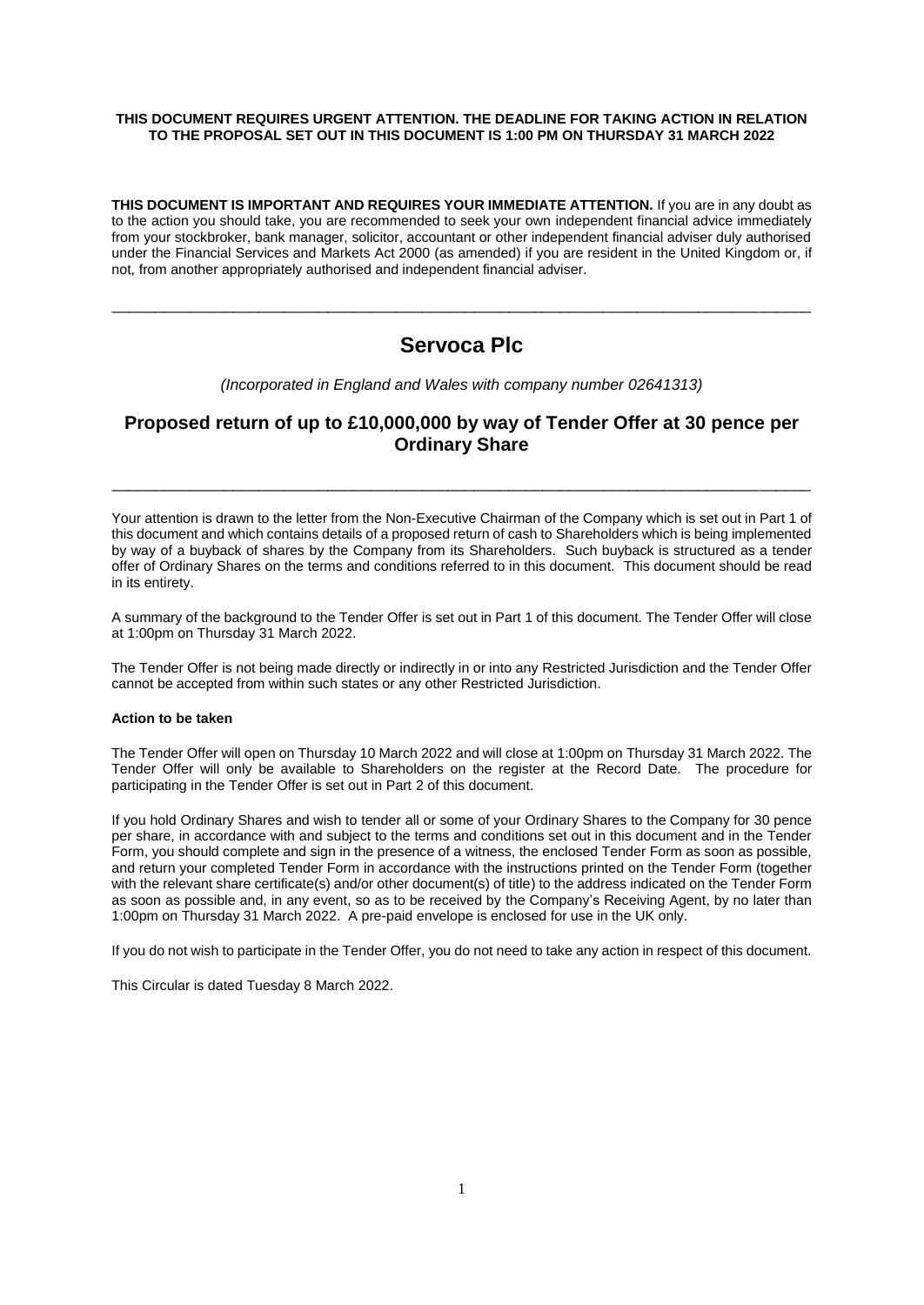#### **THIS DOCUMENT REQUIRES URGENT ATTENTION. THE DEADLINE FOR TAKING ACTION IN RELATION TO THE PROPOSAL SET OUT IN THIS DOCUMENT IS 1:00 PM ON THURSDAY 31 MARCH 2022**

**THIS DOCUMENT IS IMPORTANT AND REQUIRES YOUR IMMEDIATE ATTENTION.** If you are in any doubt as to the action you should take, you are recommended to seek your own independent financial advice immediately from your stockbroker, bank manager, solicitor, accountant or other independent financial adviser duly authorised under the Financial Services and Markets Act 2000 (as amended) if you are resident in the United Kingdom or, if not, from another appropriately authorised and independent financial adviser.

# **Servoca Plc**

\_\_\_\_\_\_\_\_\_\_\_\_\_\_\_\_\_\_\_\_\_\_\_\_\_\_\_\_\_\_\_\_\_\_\_\_\_\_\_\_\_\_\_\_\_\_\_\_\_\_\_\_\_\_\_\_\_\_\_\_\_\_\_\_\_\_\_\_\_\_\_\_\_\_\_\_\_\_\_\_\_

*(Incorporated in England and Wales with company number 02641313)*

# **Proposed return of up to £10,000,000 by way of Tender Offer at 30 pence per Ordinary Share**

\_\_\_\_\_\_\_\_\_\_\_\_\_\_\_\_\_\_\_\_\_\_\_\_\_\_\_\_\_\_\_\_\_\_\_\_\_\_\_\_\_\_\_\_\_\_\_\_\_\_\_\_\_\_\_\_\_\_\_\_\_\_\_\_\_\_\_\_\_\_\_\_\_\_\_\_\_\_\_\_\_

Your attention is drawn to the letter from the Non-Executive Chairman of the Company which is set out in Part 1 of this document and which contains details of a proposed return of cash to Shareholders which is being implemented by way of a buyback of shares by the Company from its Shareholders. Such buyback is structured as a tender offer of Ordinary Shares on the terms and conditions referred to in this document. This document should be read in its entirety.

A summary of the background to the Tender Offer is set out in Part 1 of this document. The Tender Offer will close at 1:00pm on Thursday 31 March 2022.

The Tender Offer is not being made directly or indirectly in or into any Restricted Jurisdiction and the Tender Offer cannot be accepted from within such states or any other Restricted Jurisdiction.

#### **Action to be taken**

The Tender Offer will open on Thursday 10 March 2022 and will close at 1:00pm on Thursday 31 March 2022. The Tender Offer will only be available to Shareholders on the register at the Record Date. The procedure for participating in the Tender Offer is set out in Part 2 of this document.

If you hold Ordinary Shares and wish to tender all or some of your Ordinary Shares to the Company for 30 pence per share, in accordance with and subject to the terms and conditions set out in this document and in the Tender Form, you should complete and sign in the presence of a witness, the enclosed Tender Form as soon as possible, and return your completed Tender Form in accordance with the instructions printed on the Tender Form (together with the relevant share certificate(s) and/or other document(s) of title) to the address indicated on the Tender Form as soon as possible and, in any event, so as to be received by the Company's Receiving Agent, by no later than 1:00pm on Thursday 31 March 2022. A pre-paid envelope is enclosed for use in the UK only.

If you do not wish to participate in the Tender Offer, you do not need to take any action in respect of this document.

This Circular is dated Tuesday 8 March 2022.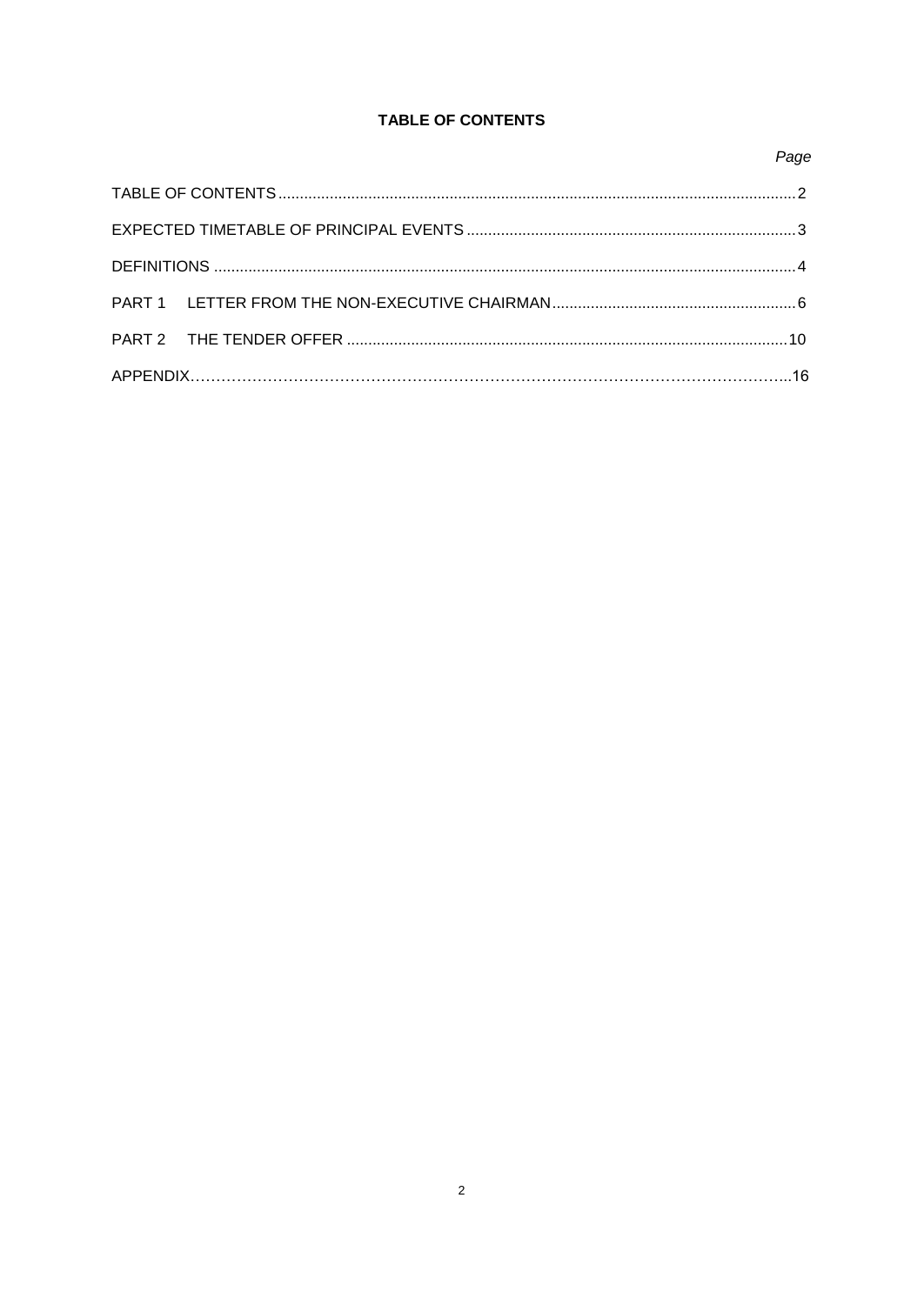# TABLE OF CONTENTS

# Page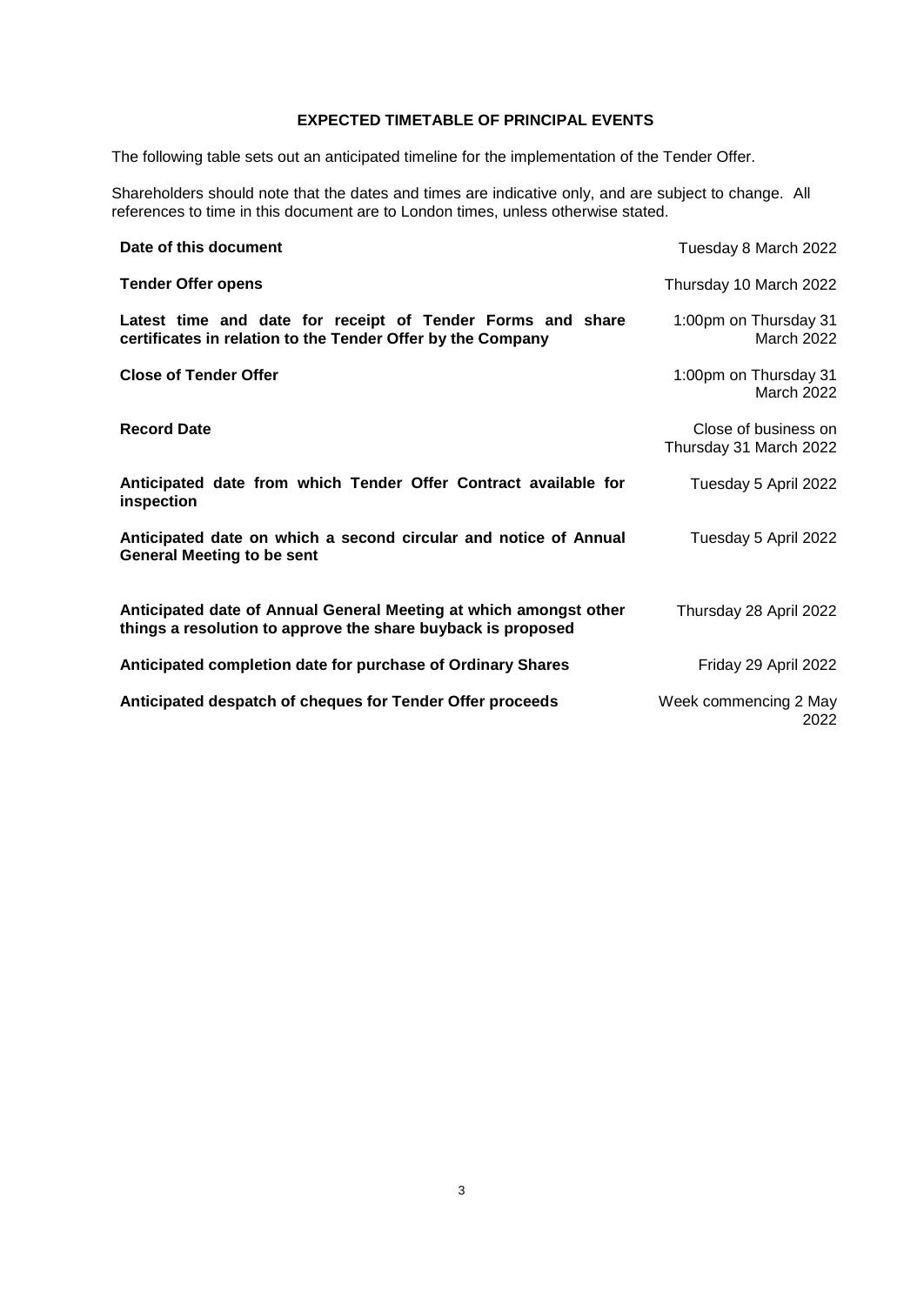# **EXPECTED TIMETABLE OF PRINCIPAL EVENTS**

The following table sets out an anticipated timeline for the implementation of the Tender Offer.

Shareholders should note that the dates and times are indicative only, and are subject to change. All references to time in this document are to London times, unless otherwise stated.

| Date of this document                                                                                                             | Tuesday 8 March 2022                           |
|-----------------------------------------------------------------------------------------------------------------------------------|------------------------------------------------|
| <b>Tender Offer opens</b>                                                                                                         | Thursday 10 March 2022                         |
| Latest time and date for receipt of Tender Forms and share<br>certificates in relation to the Tender Offer by the Company         | 1:00pm on Thursday 31<br>March 2022            |
| <b>Close of Tender Offer</b>                                                                                                      | 1:00pm on Thursday 31<br>March 2022            |
| <b>Record Date</b>                                                                                                                | Close of business on<br>Thursday 31 March 2022 |
| Anticipated date from which Tender Offer Contract available for<br>inspection                                                     | Tuesday 5 April 2022                           |
| Anticipated date on which a second circular and notice of Annual<br><b>General Meeting to be sent</b>                             | Tuesday 5 April 2022                           |
| Anticipated date of Annual General Meeting at which amongst other<br>things a resolution to approve the share buyback is proposed | Thursday 28 April 2022                         |
| Anticipated completion date for purchase of Ordinary Shares                                                                       | Friday 29 April 2022                           |
| Anticipated despatch of cheques for Tender Offer proceeds                                                                         | Week commencing 2 May<br>2022                  |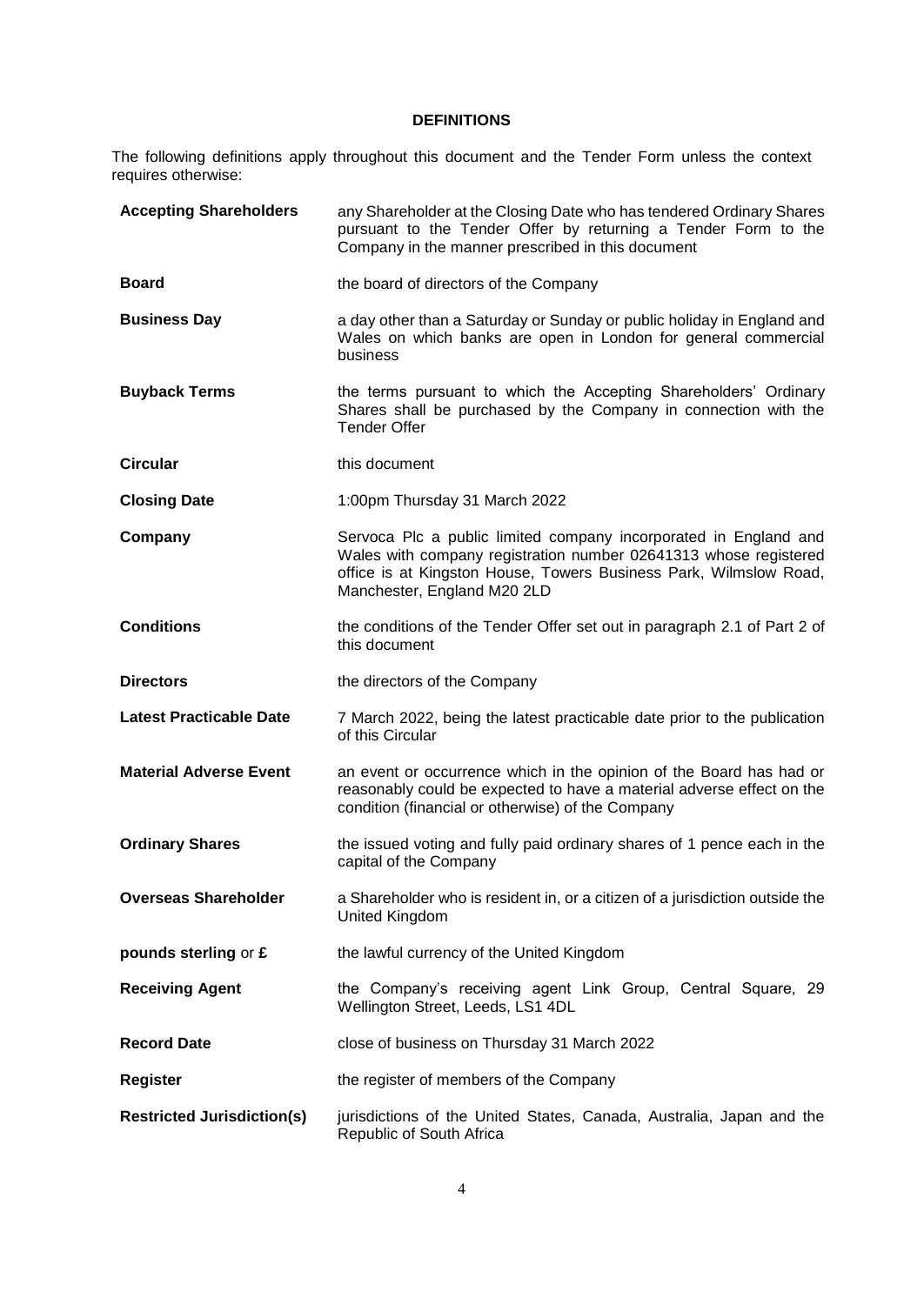# **DEFINITIONS**

The following definitions apply throughout this document and the Tender Form unless the context requires otherwise:

| <b>Accepting Shareholders</b>     | any Shareholder at the Closing Date who has tendered Ordinary Shares<br>pursuant to the Tender Offer by returning a Tender Form to the<br>Company in the manner prescribed in this document                                              |
|-----------------------------------|------------------------------------------------------------------------------------------------------------------------------------------------------------------------------------------------------------------------------------------|
| <b>Board</b>                      | the board of directors of the Company                                                                                                                                                                                                    |
| <b>Business Day</b>               | a day other than a Saturday or Sunday or public holiday in England and<br>Wales on which banks are open in London for general commercial<br>business                                                                                     |
| <b>Buyback Terms</b>              | the terms pursuant to which the Accepting Shareholders' Ordinary<br>Shares shall be purchased by the Company in connection with the<br><b>Tender Offer</b>                                                                               |
| <b>Circular</b>                   | this document                                                                                                                                                                                                                            |
| <b>Closing Date</b>               | 1:00pm Thursday 31 March 2022                                                                                                                                                                                                            |
| Company                           | Servoca Plc a public limited company incorporated in England and<br>Wales with company registration number 02641313 whose registered<br>office is at Kingston House, Towers Business Park, Wilmslow Road,<br>Manchester, England M20 2LD |
| <b>Conditions</b>                 | the conditions of the Tender Offer set out in paragraph 2.1 of Part 2 of<br>this document                                                                                                                                                |
| <b>Directors</b>                  | the directors of the Company                                                                                                                                                                                                             |
| <b>Latest Practicable Date</b>    | 7 March 2022, being the latest practicable date prior to the publication<br>of this Circular                                                                                                                                             |
| <b>Material Adverse Event</b>     | an event or occurrence which in the opinion of the Board has had or<br>reasonably could be expected to have a material adverse effect on the<br>condition (financial or otherwise) of the Company                                        |
| <b>Ordinary Shares</b>            | the issued voting and fully paid ordinary shares of 1 pence each in the<br>capital of the Company                                                                                                                                        |
| <b>Overseas Shareholder</b>       | a Shareholder who is resident in, or a citizen of a jurisdiction outside the<br>United Kingdom                                                                                                                                           |
| pounds sterling or £              | the lawful currency of the United Kingdom                                                                                                                                                                                                |
| <b>Receiving Agent</b>            | the Company's receiving agent Link Group, Central Square, 29<br>Wellington Street, Leeds, LS1 4DL                                                                                                                                        |
| <b>Record Date</b>                | close of business on Thursday 31 March 2022                                                                                                                                                                                              |
| <b>Register</b>                   | the register of members of the Company                                                                                                                                                                                                   |
| <b>Restricted Jurisdiction(s)</b> | jurisdictions of the United States, Canada, Australia, Japan and the<br>Republic of South Africa                                                                                                                                         |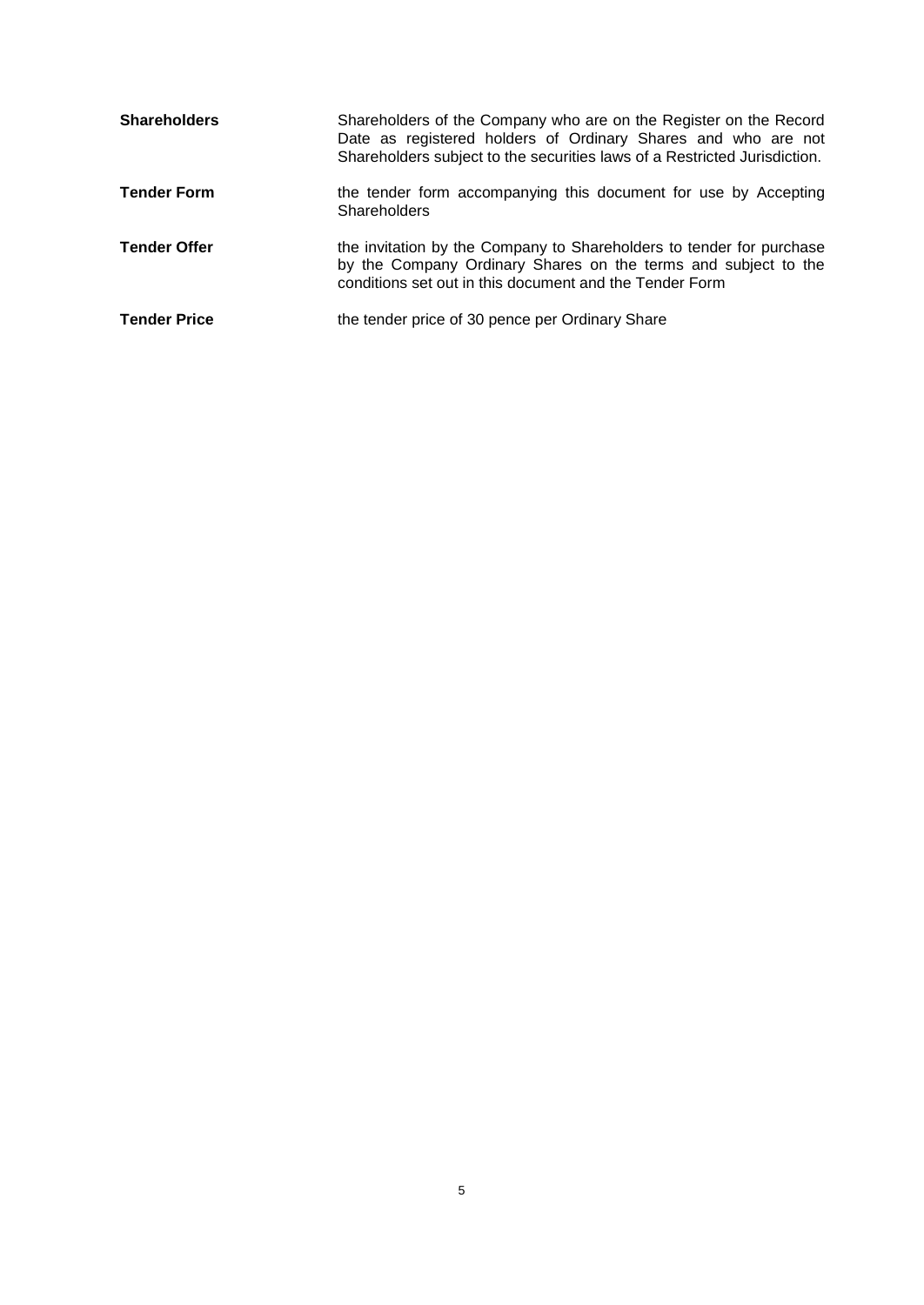| <b>Shareholders</b> | Shareholders of the Company who are on the Register on the Record<br>Date as registered holders of Ordinary Shares and who are not<br>Shareholders subject to the securities laws of a Restricted Jurisdiction. |
|---------------------|-----------------------------------------------------------------------------------------------------------------------------------------------------------------------------------------------------------------|
| <b>Tender Form</b>  | the tender form accompanying this document for use by Accepting<br><b>Shareholders</b>                                                                                                                          |
| <b>Tender Offer</b> | the invitation by the Company to Shareholders to tender for purchase<br>by the Company Ordinary Shares on the terms and subject to the<br>conditions set out in this document and the Tender Form               |
| <b>Tender Price</b> | the tender price of 30 pence per Ordinary Share                                                                                                                                                                 |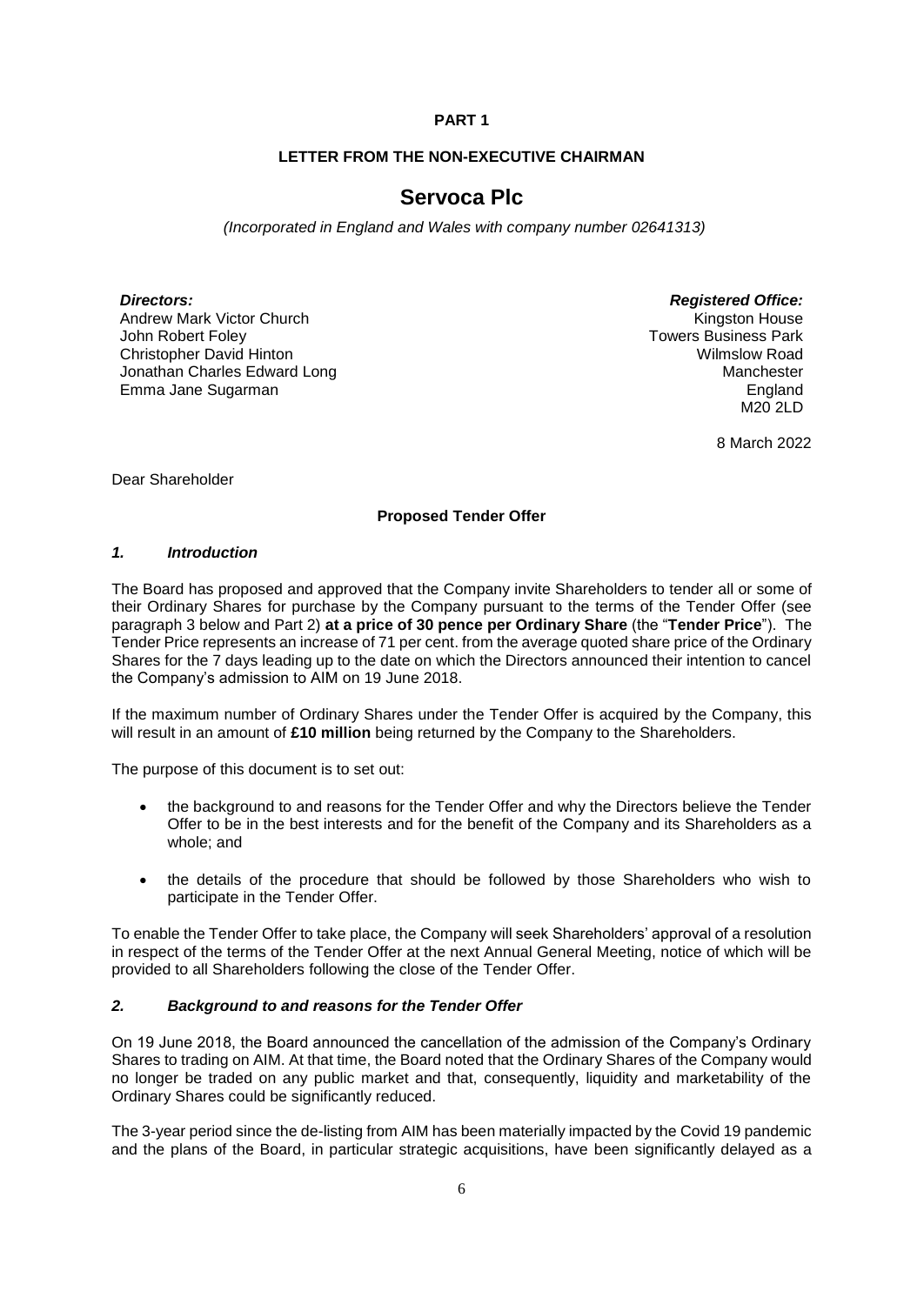# **PART 1**

# **LETTER FROM THE NON-EXECUTIVE CHAIRMAN**

# **Servoca Plc**

 *(Incorporated in England and Wales with company number 02641313)*

Andrew Mark Victor Church John Robert Foley Christopher David Hinton Jonathan Charles Edward Long Emma Jane Sugarman

*Directors: Registered Office:* Kingston House Towers Business Park Wilmslow Road Manchester England M20 2LD

8 March 2022

Dear Shareholder

# **Proposed Tender Offer**

#### *1. Introduction*

The Board has proposed and approved that the Company invite Shareholders to tender all or some of their Ordinary Shares for purchase by the Company pursuant to the terms of the Tender Offer (see paragraph 3 below and Part 2) **at a price of 30 pence per Ordinary Share** (the "**Tender Price**"). The Tender Price represents an increase of 71 per cent. from the average quoted share price of the Ordinary Shares for the 7 days leading up to the date on which the Directors announced their intention to cancel the Company's admission to AIM on 19 June 2018.

If the maximum number of Ordinary Shares under the Tender Offer is acquired by the Company, this will result in an amount of **£10 million** being returned by the Company to the Shareholders.

The purpose of this document is to set out:

- the background to and reasons for the Tender Offer and why the Directors believe the Tender Offer to be in the best interests and for the benefit of the Company and its Shareholders as a whole; and
- the details of the procedure that should be followed by those Shareholders who wish to participate in the Tender Offer.

To enable the Tender Offer to take place, the Company will seek Shareholders' approval of a resolution in respect of the terms of the Tender Offer at the next Annual General Meeting, notice of which will be provided to all Shareholders following the close of the Tender Offer.

#### *2. Background to and reasons for the Tender Offer*

On 19 June 2018, the Board announced the cancellation of the admission of the Company's Ordinary Shares to trading on AIM. At that time, the Board noted that the Ordinary Shares of the Company would no longer be traded on any public market and that, consequently, liquidity and marketability of the Ordinary Shares could be significantly reduced.

The 3-year period since the de-listing from AIM has been materially impacted by the Covid 19 pandemic and the plans of the Board, in particular strategic acquisitions, have been significantly delayed as a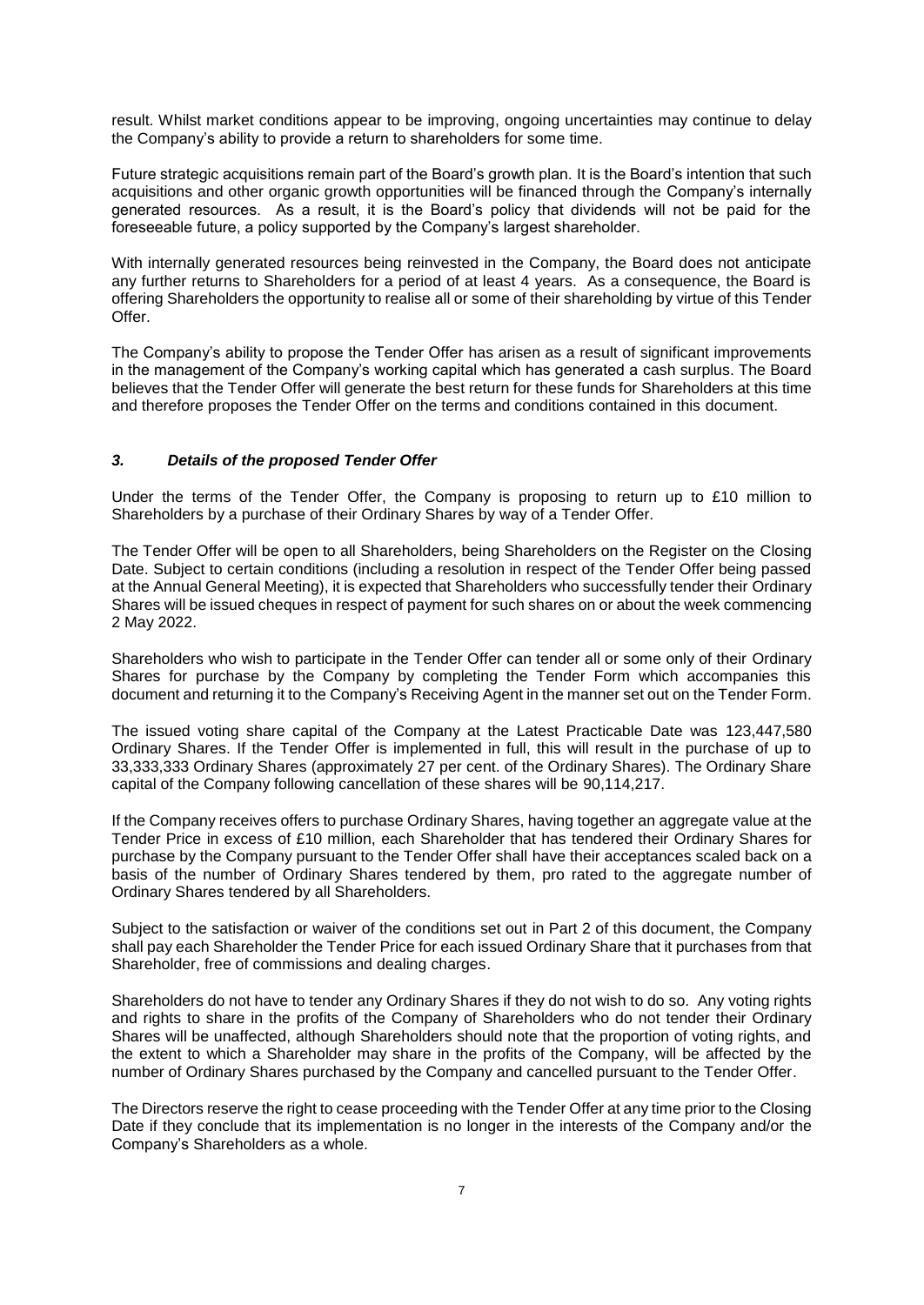result. Whilst market conditions appear to be improving, ongoing uncertainties may continue to delay the Company's ability to provide a return to shareholders for some time.

Future strategic acquisitions remain part of the Board's growth plan. It is the Board's intention that such acquisitions and other organic growth opportunities will be financed through the Company's internally generated resources. As a result, it is the Board's policy that dividends will not be paid for the foreseeable future, a policy supported by the Company's largest shareholder.

With internally generated resources being reinvested in the Company, the Board does not anticipate any further returns to Shareholders for a period of at least 4 years. As a consequence, the Board is offering Shareholders the opportunity to realise all or some of their shareholding by virtue of this Tender Offer.

The Company's ability to propose the Tender Offer has arisen as a result of significant improvements in the management of the Company's working capital which has generated a cash surplus. The Board believes that the Tender Offer will generate the best return for these funds for Shareholders at this time and therefore proposes the Tender Offer on the terms and conditions contained in this document.

## *3. Details of the proposed Tender Offer*

Under the terms of the Tender Offer, the Company is proposing to return up to £10 million to Shareholders by a purchase of their Ordinary Shares by way of a Tender Offer.

The Tender Offer will be open to all Shareholders, being Shareholders on the Register on the Closing Date. Subject to certain conditions (including a resolution in respect of the Tender Offer being passed at the Annual General Meeting), it is expected that Shareholders who successfully tender their Ordinary Shares will be issued cheques in respect of payment for such shares on or about the week commencing 2 May 2022.

Shareholders who wish to participate in the Tender Offer can tender all or some only of their Ordinary Shares for purchase by the Company by completing the Tender Form which accompanies this document and returning it to the Company's Receiving Agent in the manner set out on the Tender Form.

The issued voting share capital of the Company at the Latest Practicable Date was 123,447,580 Ordinary Shares. If the Tender Offer is implemented in full, this will result in the purchase of up to 33,333,333 Ordinary Shares (approximately 27 per cent. of the Ordinary Shares). The Ordinary Share capital of the Company following cancellation of these shares will be 90,114,217.

If the Company receives offers to purchase Ordinary Shares, having together an aggregate value at the Tender Price in excess of £10 million, each Shareholder that has tendered their Ordinary Shares for purchase by the Company pursuant to the Tender Offer shall have their acceptances scaled back on a basis of the number of Ordinary Shares tendered by them, pro rated to the aggregate number of Ordinary Shares tendered by all Shareholders.

Subject to the satisfaction or waiver of the conditions set out in Part 2 of this document, the Company shall pay each Shareholder the Tender Price for each issued Ordinary Share that it purchases from that Shareholder, free of commissions and dealing charges.

Shareholders do not have to tender any Ordinary Shares if they do not wish to do so. Any voting rights and rights to share in the profits of the Company of Shareholders who do not tender their Ordinary Shares will be unaffected, although Shareholders should note that the proportion of voting rights, and the extent to which a Shareholder may share in the profits of the Company, will be affected by the number of Ordinary Shares purchased by the Company and cancelled pursuant to the Tender Offer.

The Directors reserve the right to cease proceeding with the Tender Offer at any time prior to the Closing Date if they conclude that its implementation is no longer in the interests of the Company and/or the Company's Shareholders as a whole.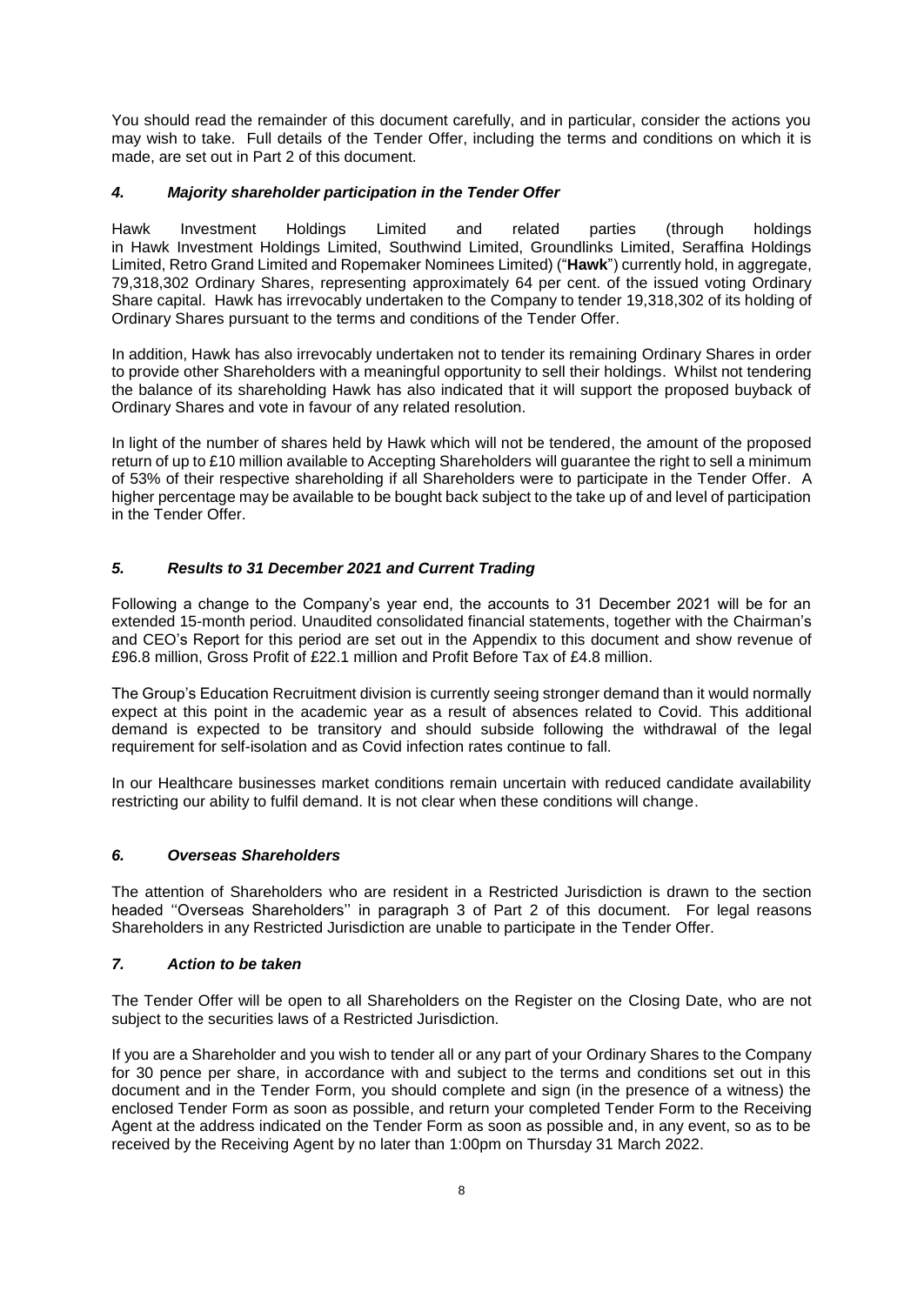You should read the remainder of this document carefully, and in particular, consider the actions you may wish to take. Full details of the Tender Offer, including the terms and conditions on which it is made, are set out in Part 2 of this document.

# *4. Majority shareholder participation in the Tender Offer*

Hawk Investment Holdings Limited and related parties (through holdings in Hawk Investment Holdings Limited, Southwind Limited, Groundlinks Limited, Seraffina Holdings Limited, Retro Grand Limited and Ropemaker Nominees Limited) ("**Hawk**") currently hold, in aggregate, 79,318,302 Ordinary Shares, representing approximately 64 per cent. of the issued voting Ordinary Share capital. Hawk has irrevocably undertaken to the Company to tender 19,318,302 of its holding of Ordinary Shares pursuant to the terms and conditions of the Tender Offer.

In addition, Hawk has also irrevocably undertaken not to tender its remaining Ordinary Shares in order to provide other Shareholders with a meaningful opportunity to sell their holdings. Whilst not tendering the balance of its shareholding Hawk has also indicated that it will support the proposed buyback of Ordinary Shares and vote in favour of any related resolution.

In light of the number of shares held by Hawk which will not be tendered, the amount of the proposed return of up to £10 million available to Accepting Shareholders will guarantee the right to sell a minimum of 53% of their respective shareholding if all Shareholders were to participate in the Tender Offer. A higher percentage may be available to be bought back subject to the take up of and level of participation in the Tender Offer.

## *5. Results to 31 December 2021 and Current Trading*

Following a change to the Company's year end, the accounts to 31 December 2021 will be for an extended 15-month period. Unaudited consolidated financial statements, together with the Chairman's and CEO's Report for this period are set out in the Appendix to this document and show revenue of £96.8 million, Gross Profit of £22.1 million and Profit Before Tax of £4.8 million.

The Group's Education Recruitment division is currently seeing stronger demand than it would normally expect at this point in the academic year as a result of absences related to Covid. This additional demand is expected to be transitory and should subside following the withdrawal of the legal requirement for self-isolation and as Covid infection rates continue to fall.

In our Healthcare businesses market conditions remain uncertain with reduced candidate availability restricting our ability to fulfil demand. It is not clear when these conditions will change.

#### *6. Overseas Shareholders*

The attention of Shareholders who are resident in a Restricted Jurisdiction is drawn to the section headed ''Overseas Shareholders'' in paragraph 3 of Part 2 of this document. For legal reasons Shareholders in any Restricted Jurisdiction are unable to participate in the Tender Offer.

# *7. Action to be taken*

The Tender Offer will be open to all Shareholders on the Register on the Closing Date, who are not subject to the securities laws of a Restricted Jurisdiction.

If you are a Shareholder and you wish to tender all or any part of your Ordinary Shares to the Company for 30 pence per share, in accordance with and subject to the terms and conditions set out in this document and in the Tender Form, you should complete and sign (in the presence of a witness) the enclosed Tender Form as soon as possible, and return your completed Tender Form to the Receiving Agent at the address indicated on the Tender Form as soon as possible and, in any event, so as to be received by the Receiving Agent by no later than 1:00pm on Thursday 31 March 2022.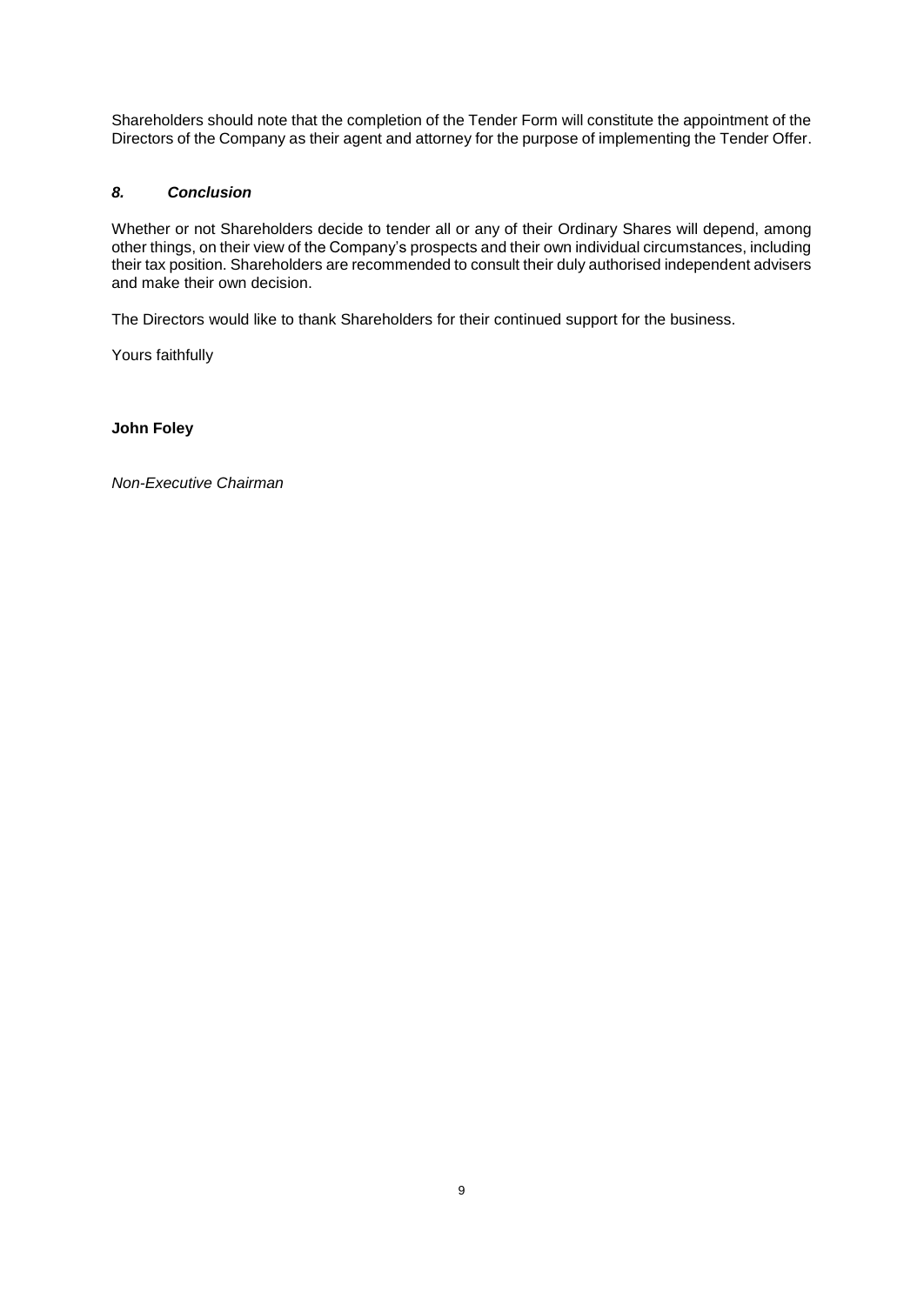Shareholders should note that the completion of the Tender Form will constitute the appointment of the Directors of the Company as their agent and attorney for the purpose of implementing the Tender Offer.

# *8. Conclusion*

Whether or not Shareholders decide to tender all or any of their Ordinary Shares will depend, among other things, on their view of the Company's prospects and their own individual circumstances, including their tax position. Shareholders are recommended to consult their duly authorised independent advisers and make their own decision.

The Directors would like to thank Shareholders for their continued support for the business.

Yours faithfully

# **John Foley**

*Non-Executive Chairman*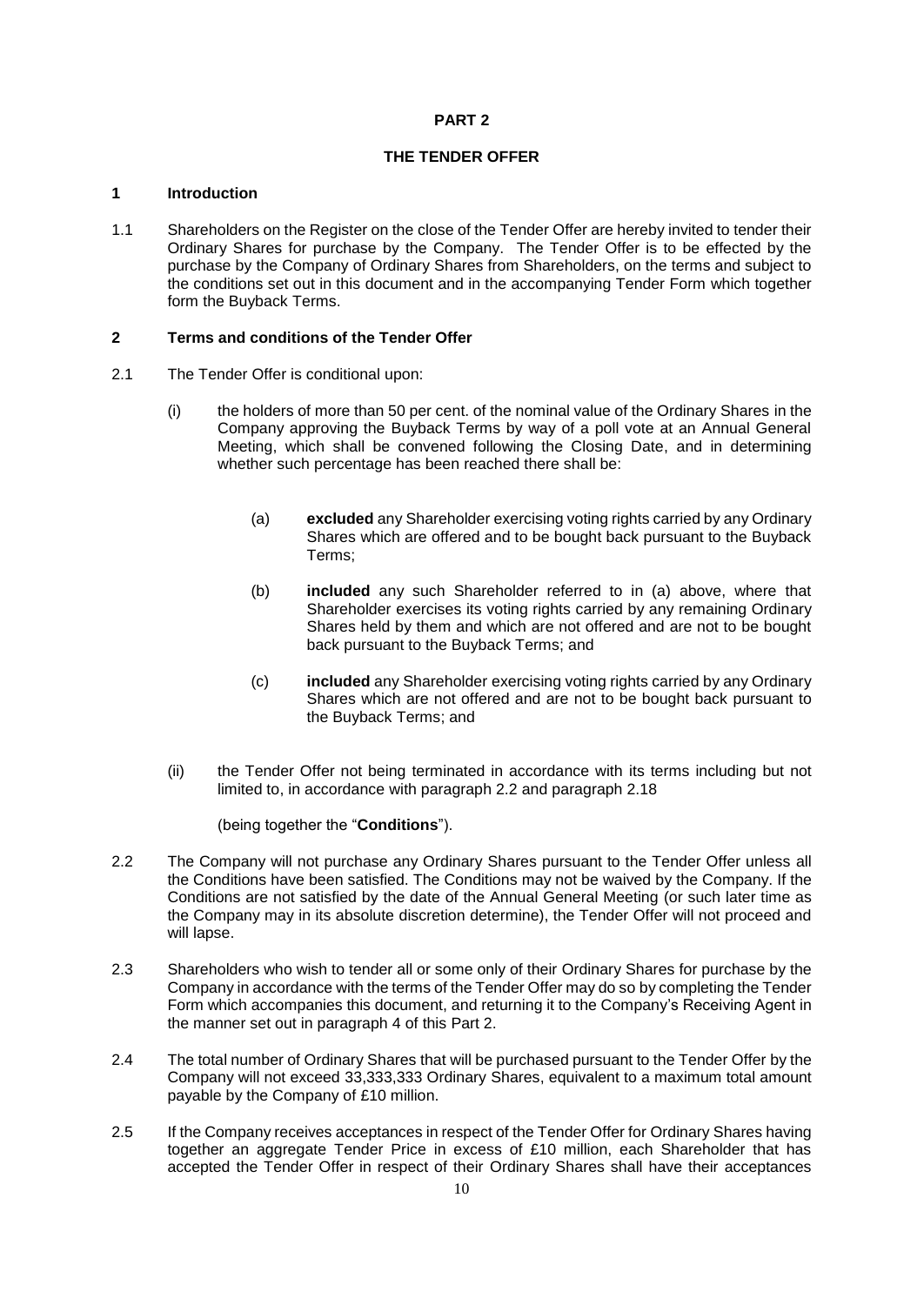# **PART 2**

# **THE TENDER OFFER**

# **1 Introduction**

1.1 Shareholders on the Register on the close of the Tender Offer are hereby invited to tender their Ordinary Shares for purchase by the Company. The Tender Offer is to be effected by the purchase by the Company of Ordinary Shares from Shareholders, on the terms and subject to the conditions set out in this document and in the accompanying Tender Form which together form the Buyback Terms.

## **2 Terms and conditions of the Tender Offer**

- 2.1 The Tender Offer is conditional upon:
	- (i) the holders of more than 50 per cent. of the nominal value of the Ordinary Shares in the Company approving the Buyback Terms by way of a poll vote at an Annual General Meeting, which shall be convened following the Closing Date, and in determining whether such percentage has been reached there shall be:
		- (a) **excluded** any Shareholder exercising voting rights carried by any Ordinary Shares which are offered and to be bought back pursuant to the Buyback Terms;
		- (b) **included** any such Shareholder referred to in (a) above, where that Shareholder exercises its voting rights carried by any remaining Ordinary Shares held by them and which are not offered and are not to be bought back pursuant to the Buyback Terms; and
		- (c) **included** any Shareholder exercising voting rights carried by any Ordinary Shares which are not offered and are not to be bought back pursuant to the Buyback Terms; and
	- (ii) the Tender Offer not being terminated in accordance with its terms including but not limited to, in accordance with paragraph 2.2 and paragraph 2.18

## (being together the "**Conditions**").

- 2.2 The Company will not purchase any Ordinary Shares pursuant to the Tender Offer unless all the Conditions have been satisfied. The Conditions may not be waived by the Company. If the Conditions are not satisfied by the date of the Annual General Meeting (or such later time as the Company may in its absolute discretion determine), the Tender Offer will not proceed and will lapse.
- 2.3 Shareholders who wish to tender all or some only of their Ordinary Shares for purchase by the Company in accordance with the terms of the Tender Offer may do so by completing the Tender Form which accompanies this document, and returning it to the Company's Receiving Agent in the manner set out in paragraph 4 of this Part 2.
- 2.4 The total number of Ordinary Shares that will be purchased pursuant to the Tender Offer by the Company will not exceed 33,333,333 Ordinary Shares, equivalent to a maximum total amount payable by the Company of £10 million.
- 2.5 If the Company receives acceptances in respect of the Tender Offer for Ordinary Shares having together an aggregate Tender Price in excess of £10 million, each Shareholder that has accepted the Tender Offer in respect of their Ordinary Shares shall have their acceptances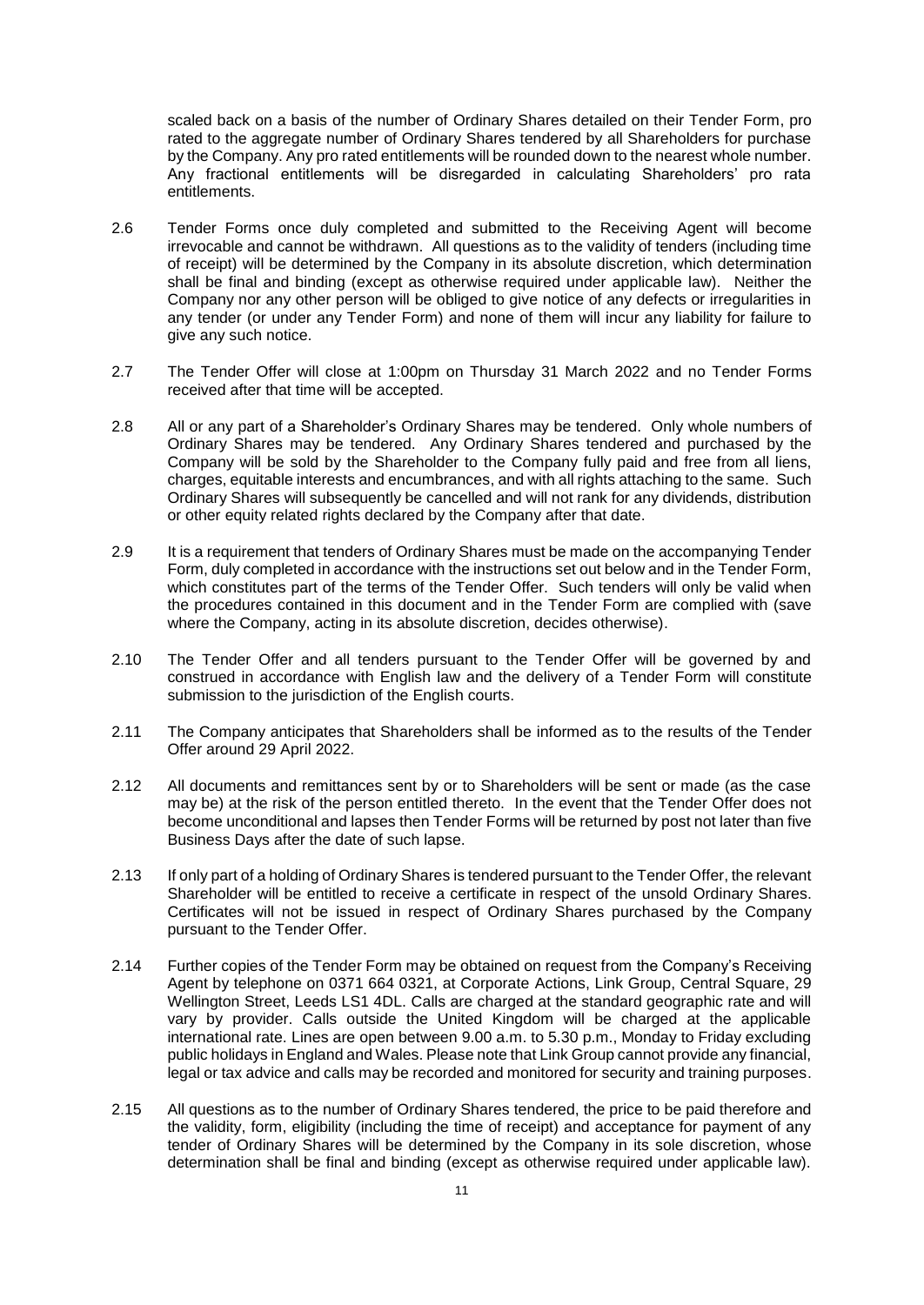scaled back on a basis of the number of Ordinary Shares detailed on their Tender Form, pro rated to the aggregate number of Ordinary Shares tendered by all Shareholders for purchase by the Company. Any pro rated entitlements will be rounded down to the nearest whole number. Any fractional entitlements will be disregarded in calculating Shareholders' pro rata entitlements.

- 2.6 Tender Forms once duly completed and submitted to the Receiving Agent will become irrevocable and cannot be withdrawn. All questions as to the validity of tenders (including time of receipt) will be determined by the Company in its absolute discretion, which determination shall be final and binding (except as otherwise required under applicable law). Neither the Company nor any other person will be obliged to give notice of any defects or irregularities in any tender (or under any Tender Form) and none of them will incur any liability for failure to give any such notice.
- 2.7 The Tender Offer will close at 1:00pm on Thursday 31 March 2022 and no Tender Forms received after that time will be accepted.
- 2.8 All or any part of a Shareholder's Ordinary Shares may be tendered. Only whole numbers of Ordinary Shares may be tendered. Any Ordinary Shares tendered and purchased by the Company will be sold by the Shareholder to the Company fully paid and free from all liens, charges, equitable interests and encumbrances, and with all rights attaching to the same. Such Ordinary Shares will subsequently be cancelled and will not rank for any dividends, distribution or other equity related rights declared by the Company after that date.
- 2.9 It is a requirement that tenders of Ordinary Shares must be made on the accompanying Tender Form, duly completed in accordance with the instructions set out below and in the Tender Form, which constitutes part of the terms of the Tender Offer. Such tenders will only be valid when the procedures contained in this document and in the Tender Form are complied with (save where the Company, acting in its absolute discretion, decides otherwise).
- 2.10 The Tender Offer and all tenders pursuant to the Tender Offer will be governed by and construed in accordance with English law and the delivery of a Tender Form will constitute submission to the jurisdiction of the English courts.
- 2.11 The Company anticipates that Shareholders shall be informed as to the results of the Tender Offer around 29 April 2022.
- 2.12 All documents and remittances sent by or to Shareholders will be sent or made (as the case may be) at the risk of the person entitled thereto. In the event that the Tender Offer does not become unconditional and lapses then Tender Forms will be returned by post not later than five Business Days after the date of such lapse.
- 2.13 If only part of a holding of Ordinary Shares is tendered pursuant to the Tender Offer, the relevant Shareholder will be entitled to receive a certificate in respect of the unsold Ordinary Shares. Certificates will not be issued in respect of Ordinary Shares purchased by the Company pursuant to the Tender Offer.
- 2.14 Further copies of the Tender Form may be obtained on request from the Company's Receiving Agent by telephone on 0371 664 0321, at Corporate Actions, Link Group, Central Square, 29 Wellington Street, Leeds LS1 4DL. Calls are charged at the standard geographic rate and will vary by provider. Calls outside the United Kingdom will be charged at the applicable international rate. Lines are open between 9.00 a.m. to 5.30 p.m., Monday to Friday excluding public holidays in England and Wales. Please note that Link Group cannot provide any financial, legal or tax advice and calls may be recorded and monitored for security and training purposes.
- 2.15 All questions as to the number of Ordinary Shares tendered, the price to be paid therefore and the validity, form, eligibility (including the time of receipt) and acceptance for payment of any tender of Ordinary Shares will be determined by the Company in its sole discretion, whose determination shall be final and binding (except as otherwise required under applicable law).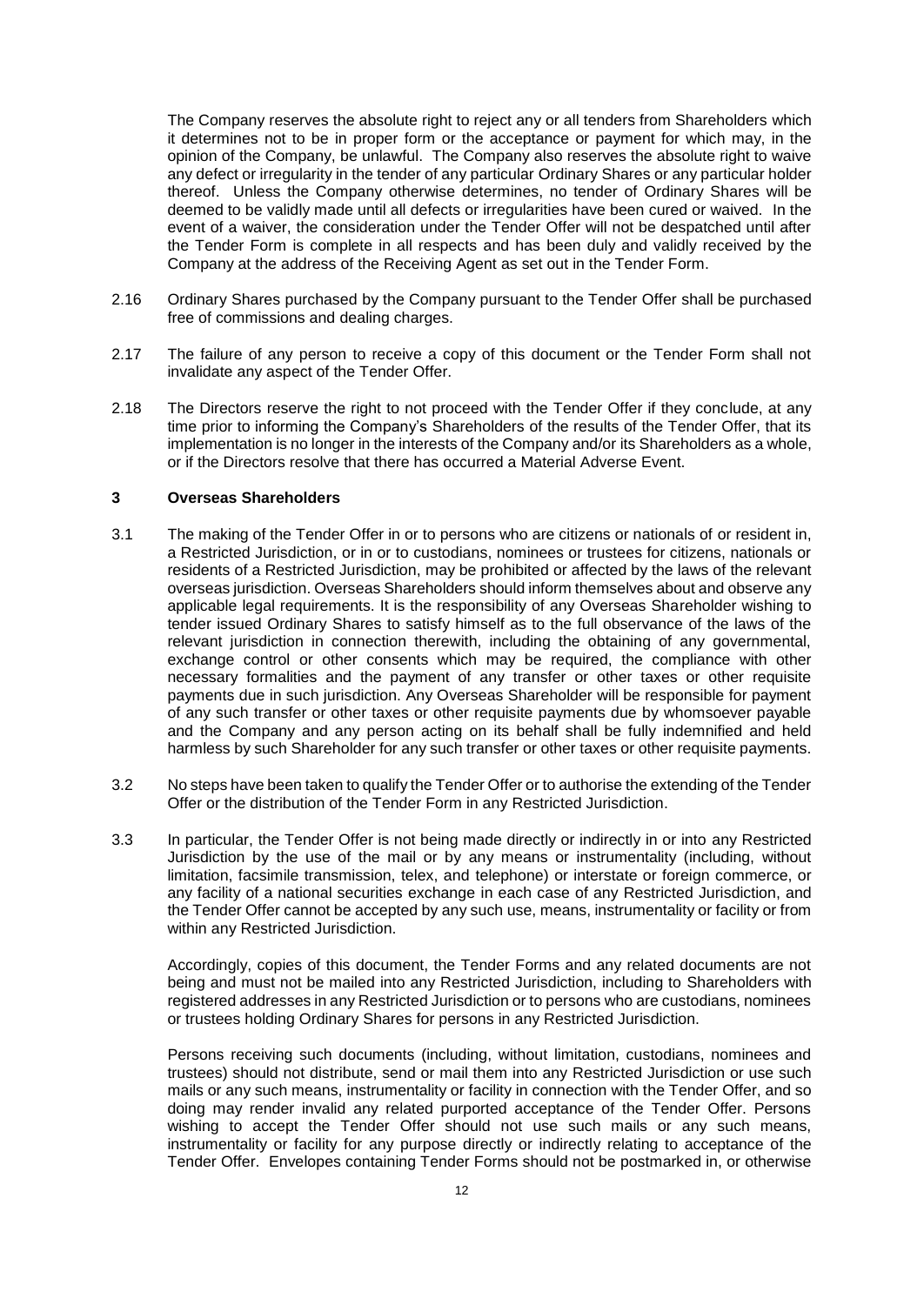The Company reserves the absolute right to reject any or all tenders from Shareholders which it determines not to be in proper form or the acceptance or payment for which may, in the opinion of the Company, be unlawful. The Company also reserves the absolute right to waive any defect or irregularity in the tender of any particular Ordinary Shares or any particular holder thereof. Unless the Company otherwise determines, no tender of Ordinary Shares will be deemed to be validly made until all defects or irregularities have been cured or waived. In the event of a waiver, the consideration under the Tender Offer will not be despatched until after the Tender Form is complete in all respects and has been duly and validly received by the Company at the address of the Receiving Agent as set out in the Tender Form.

- 2.16 Ordinary Shares purchased by the Company pursuant to the Tender Offer shall be purchased free of commissions and dealing charges.
- 2.17 The failure of any person to receive a copy of this document or the Tender Form shall not invalidate any aspect of the Tender Offer.
- 2.18 The Directors reserve the right to not proceed with the Tender Offer if they conclude, at any time prior to informing the Company's Shareholders of the results of the Tender Offer, that its implementation is no longer in the interests of the Company and/or its Shareholders as a whole, or if the Directors resolve that there has occurred a Material Adverse Event.

#### **3 Overseas Shareholders**

- 3.1 The making of the Tender Offer in or to persons who are citizens or nationals of or resident in, a Restricted Jurisdiction, or in or to custodians, nominees or trustees for citizens, nationals or residents of a Restricted Jurisdiction, may be prohibited or affected by the laws of the relevant overseas jurisdiction. Overseas Shareholders should inform themselves about and observe any applicable legal requirements. It is the responsibility of any Overseas Shareholder wishing to tender issued Ordinary Shares to satisfy himself as to the full observance of the laws of the relevant jurisdiction in connection therewith, including the obtaining of any governmental, exchange control or other consents which may be required, the compliance with other necessary formalities and the payment of any transfer or other taxes or other requisite payments due in such jurisdiction. Any Overseas Shareholder will be responsible for payment of any such transfer or other taxes or other requisite payments due by whomsoever payable and the Company and any person acting on its behalf shall be fully indemnified and held harmless by such Shareholder for any such transfer or other taxes or other requisite payments.
- 3.2 No steps have been taken to qualify the Tender Offer or to authorise the extending of the Tender Offer or the distribution of the Tender Form in any Restricted Jurisdiction.
- 3.3 In particular, the Tender Offer is not being made directly or indirectly in or into any Restricted Jurisdiction by the use of the mail or by any means or instrumentality (including, without limitation, facsimile transmission, telex, and telephone) or interstate or foreign commerce, or any facility of a national securities exchange in each case of any Restricted Jurisdiction, and the Tender Offer cannot be accepted by any such use, means, instrumentality or facility or from within any Restricted Jurisdiction.

Accordingly, copies of this document, the Tender Forms and any related documents are not being and must not be mailed into any Restricted Jurisdiction, including to Shareholders with registered addresses in any Restricted Jurisdiction or to persons who are custodians, nominees or trustees holding Ordinary Shares for persons in any Restricted Jurisdiction.

Persons receiving such documents (including, without limitation, custodians, nominees and trustees) should not distribute, send or mail them into any Restricted Jurisdiction or use such mails or any such means, instrumentality or facility in connection with the Tender Offer, and so doing may render invalid any related purported acceptance of the Tender Offer. Persons wishing to accept the Tender Offer should not use such mails or any such means, instrumentality or facility for any purpose directly or indirectly relating to acceptance of the Tender Offer. Envelopes containing Tender Forms should not be postmarked in, or otherwise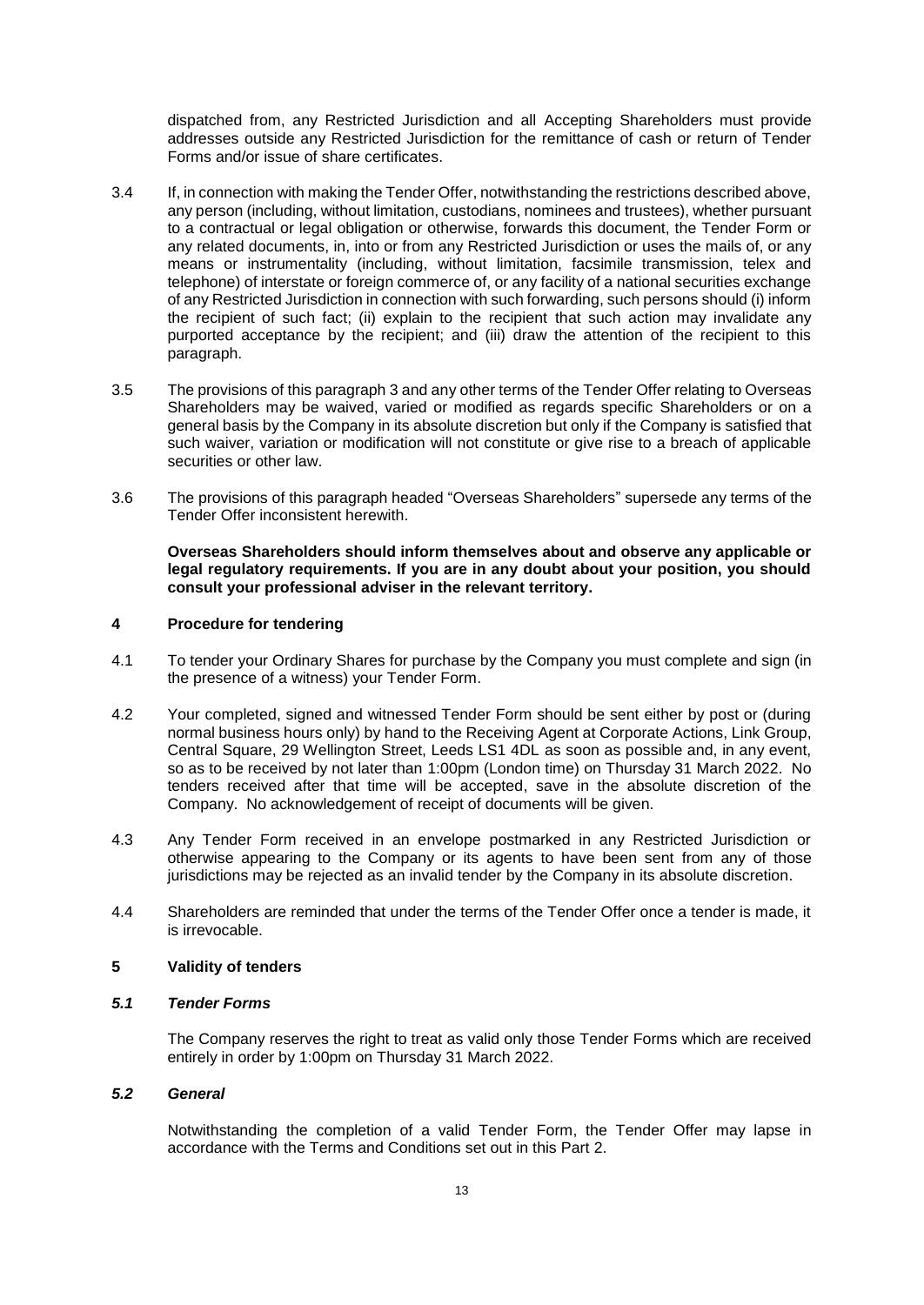dispatched from, any Restricted Jurisdiction and all Accepting Shareholders must provide addresses outside any Restricted Jurisdiction for the remittance of cash or return of Tender Forms and/or issue of share certificates.

- 3.4 If, in connection with making the Tender Offer, notwithstanding the restrictions described above, any person (including, without limitation, custodians, nominees and trustees), whether pursuant to a contractual or legal obligation or otherwise, forwards this document, the Tender Form or any related documents, in, into or from any Restricted Jurisdiction or uses the mails of, or any means or instrumentality (including, without limitation, facsimile transmission, telex and telephone) of interstate or foreign commerce of, or any facility of a national securities exchange of any Restricted Jurisdiction in connection with such forwarding, such persons should (i) inform the recipient of such fact; (ii) explain to the recipient that such action may invalidate any purported acceptance by the recipient; and (iii) draw the attention of the recipient to this paragraph.
- 3.5 The provisions of this paragraph 3 and any other terms of the Tender Offer relating to Overseas Shareholders may be waived, varied or modified as regards specific Shareholders or on a general basis by the Company in its absolute discretion but only if the Company is satisfied that such waiver, variation or modification will not constitute or give rise to a breach of applicable securities or other law.
- 3.6 The provisions of this paragraph headed "Overseas Shareholders" supersede any terms of the Tender Offer inconsistent herewith.

**Overseas Shareholders should inform themselves about and observe any applicable or legal regulatory requirements. If you are in any doubt about your position, you should consult your professional adviser in the relevant territory.**

#### **4 Procedure for tendering**

- 4.1 To tender your Ordinary Shares for purchase by the Company you must complete and sign (in the presence of a witness) your Tender Form.
- 4.2 Your completed, signed and witnessed Tender Form should be sent either by post or (during normal business hours only) by hand to the Receiving Agent at Corporate Actions, Link Group, Central Square, 29 Wellington Street, Leeds LS1 4DL as soon as possible and, in any event, so as to be received by not later than 1:00pm (London time) on Thursday 31 March 2022. No tenders received after that time will be accepted, save in the absolute discretion of the Company. No acknowledgement of receipt of documents will be given.
- 4.3 Any Tender Form received in an envelope postmarked in any Restricted Jurisdiction or otherwise appearing to the Company or its agents to have been sent from any of those jurisdictions may be rejected as an invalid tender by the Company in its absolute discretion.
- 4.4 Shareholders are reminded that under the terms of the Tender Offer once a tender is made, it is irrevocable.

#### **5 Validity of tenders**

#### *5.1 Tender Forms*

The Company reserves the right to treat as valid only those Tender Forms which are received entirely in order by 1:00pm on Thursday 31 March 2022.

#### *5.2 General*

Notwithstanding the completion of a valid Tender Form, the Tender Offer may lapse in accordance with the Terms and Conditions set out in this Part 2.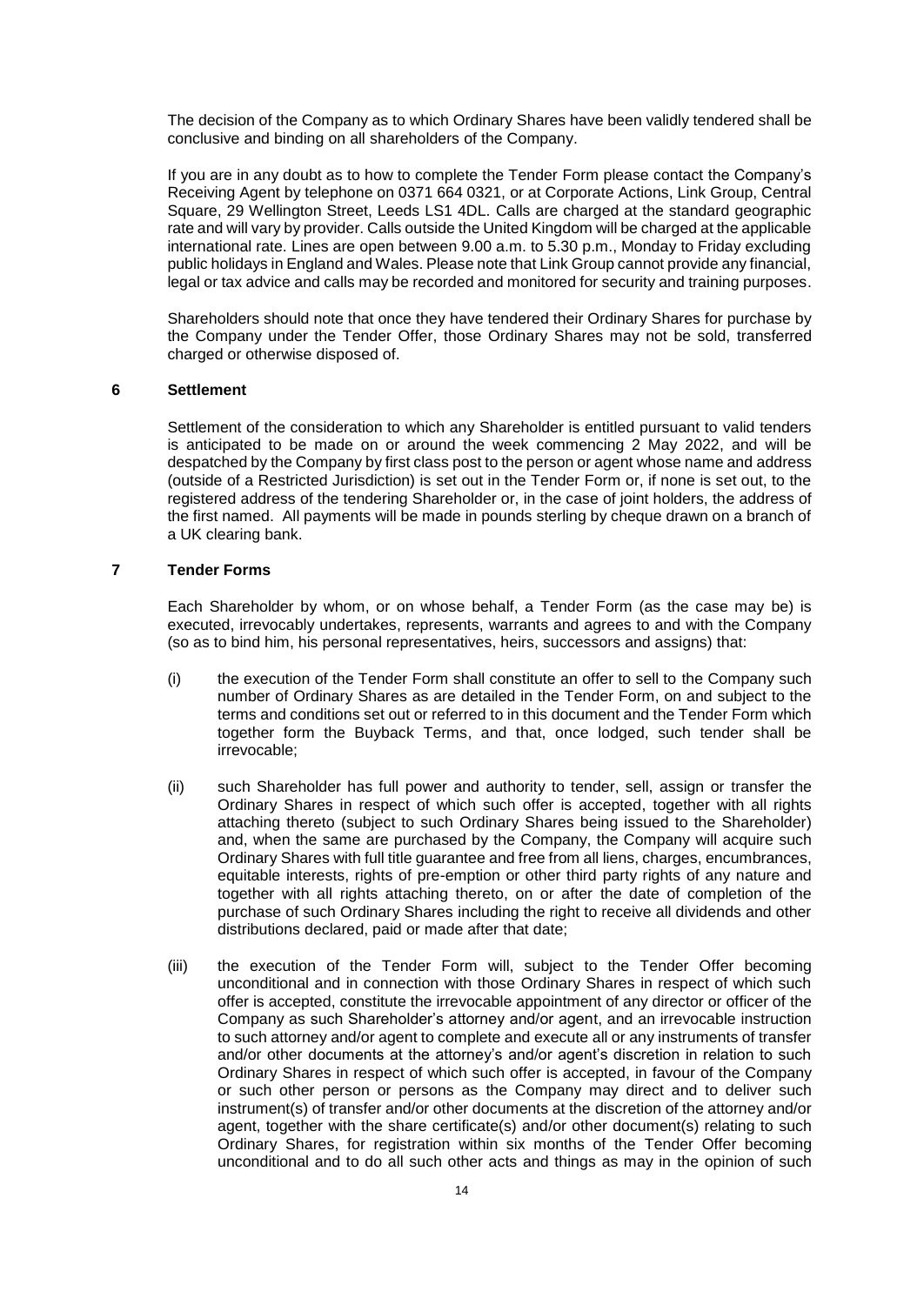The decision of the Company as to which Ordinary Shares have been validly tendered shall be conclusive and binding on all shareholders of the Company.

If you are in any doubt as to how to complete the Tender Form please contact the Company's Receiving Agent by telephone on 0371 664 0321, or at Corporate Actions, Link Group, Central Square, 29 Wellington Street, Leeds LS1 4DL. Calls are charged at the standard geographic rate and will vary by provider. Calls outside the United Kingdom will be charged at the applicable international rate. Lines are open between 9.00 a.m. to 5.30 p.m., Monday to Friday excluding public holidays in England and Wales. Please note that Link Group cannot provide any financial, legal or tax advice and calls may be recorded and monitored for security and training purposes.

Shareholders should note that once they have tendered their Ordinary Shares for purchase by the Company under the Tender Offer, those Ordinary Shares may not be sold, transferred charged or otherwise disposed of.

#### **6 Settlement**

Settlement of the consideration to which any Shareholder is entitled pursuant to valid tenders is anticipated to be made on or around the week commencing 2 May 2022, and will be despatched by the Company by first class post to the person or agent whose name and address (outside of a Restricted Jurisdiction) is set out in the Tender Form or, if none is set out, to the registered address of the tendering Shareholder or, in the case of joint holders, the address of the first named. All payments will be made in pounds sterling by cheque drawn on a branch of a UK clearing bank.

## **7 Tender Forms**

Each Shareholder by whom, or on whose behalf, a Tender Form (as the case may be) is executed, irrevocably undertakes, represents, warrants and agrees to and with the Company (so as to bind him, his personal representatives, heirs, successors and assigns) that:

- (i) the execution of the Tender Form shall constitute an offer to sell to the Company such number of Ordinary Shares as are detailed in the Tender Form, on and subject to the terms and conditions set out or referred to in this document and the Tender Form which together form the Buyback Terms, and that, once lodged, such tender shall be irrevocable;
- (ii) such Shareholder has full power and authority to tender, sell, assign or transfer the Ordinary Shares in respect of which such offer is accepted, together with all rights attaching thereto (subject to such Ordinary Shares being issued to the Shareholder) and, when the same are purchased by the Company, the Company will acquire such Ordinary Shares with full title guarantee and free from all liens, charges, encumbrances, equitable interests, rights of pre-emption or other third party rights of any nature and together with all rights attaching thereto, on or after the date of completion of the purchase of such Ordinary Shares including the right to receive all dividends and other distributions declared, paid or made after that date;
- (iii) the execution of the Tender Form will, subject to the Tender Offer becoming unconditional and in connection with those Ordinary Shares in respect of which such offer is accepted, constitute the irrevocable appointment of any director or officer of the Company as such Shareholder's attorney and/or agent, and an irrevocable instruction to such attorney and/or agent to complete and execute all or any instruments of transfer and/or other documents at the attorney's and/or agent's discretion in relation to such Ordinary Shares in respect of which such offer is accepted, in favour of the Company or such other person or persons as the Company may direct and to deliver such instrument(s) of transfer and/or other documents at the discretion of the attorney and/or agent, together with the share certificate(s) and/or other document(s) relating to such Ordinary Shares, for registration within six months of the Tender Offer becoming unconditional and to do all such other acts and things as may in the opinion of such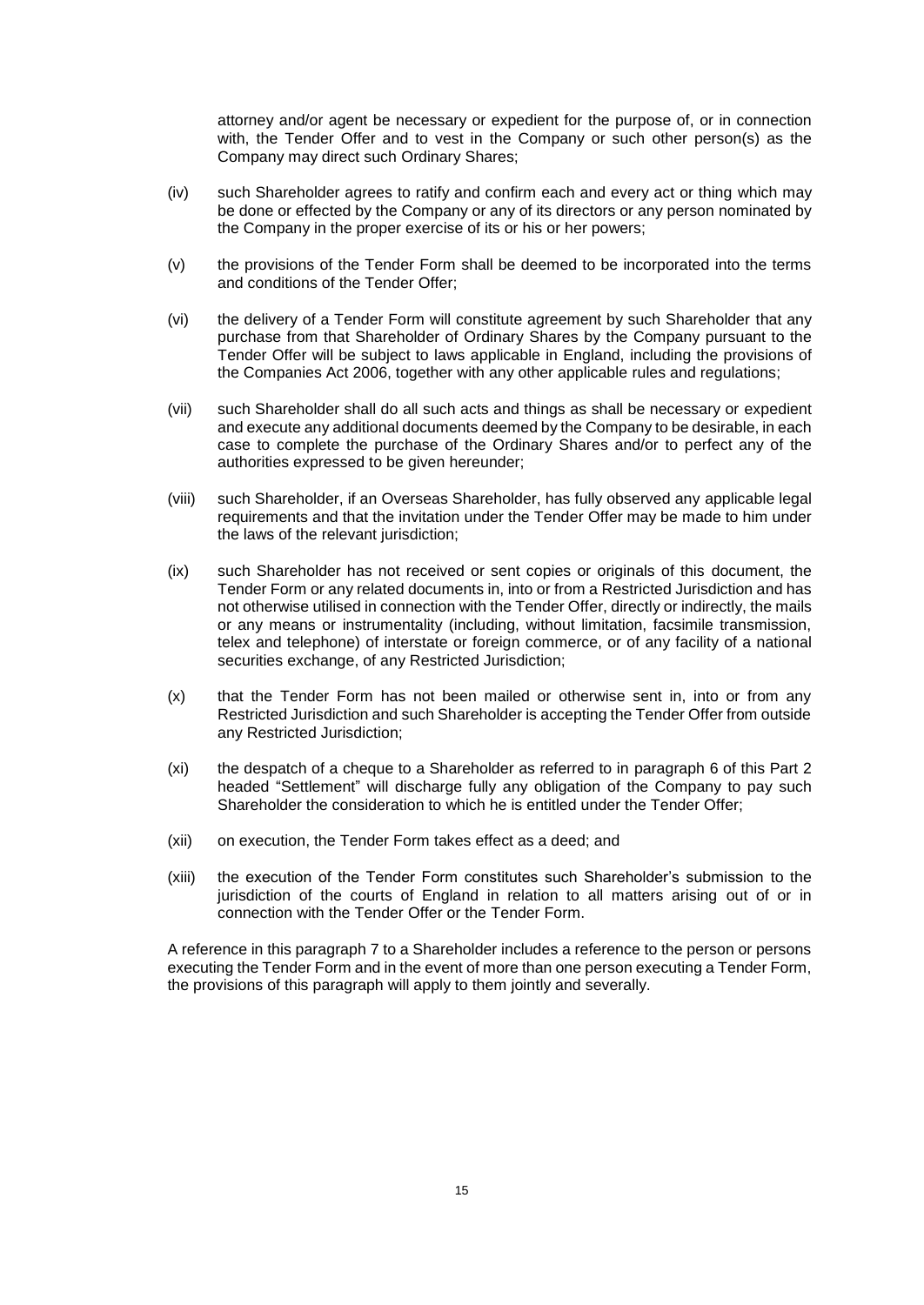attorney and/or agent be necessary or expedient for the purpose of, or in connection with, the Tender Offer and to vest in the Company or such other person(s) as the Company may direct such Ordinary Shares;

- (iv) such Shareholder agrees to ratify and confirm each and every act or thing which may be done or effected by the Company or any of its directors or any person nominated by the Company in the proper exercise of its or his or her powers;
- (v) the provisions of the Tender Form shall be deemed to be incorporated into the terms and conditions of the Tender Offer;
- (vi) the delivery of a Tender Form will constitute agreement by such Shareholder that any purchase from that Shareholder of Ordinary Shares by the Company pursuant to the Tender Offer will be subject to laws applicable in England, including the provisions of the Companies Act 2006, together with any other applicable rules and regulations;
- (vii) such Shareholder shall do all such acts and things as shall be necessary or expedient and execute any additional documents deemed by the Company to be desirable, in each case to complete the purchase of the Ordinary Shares and/or to perfect any of the authorities expressed to be given hereunder;
- (viii) such Shareholder, if an Overseas Shareholder, has fully observed any applicable legal requirements and that the invitation under the Tender Offer may be made to him under the laws of the relevant jurisdiction;
- (ix) such Shareholder has not received or sent copies or originals of this document, the Tender Form or any related documents in, into or from a Restricted Jurisdiction and has not otherwise utilised in connection with the Tender Offer, directly or indirectly, the mails or any means or instrumentality (including, without limitation, facsimile transmission, telex and telephone) of interstate or foreign commerce, or of any facility of a national securities exchange, of any Restricted Jurisdiction;
- (x) that the Tender Form has not been mailed or otherwise sent in, into or from any Restricted Jurisdiction and such Shareholder is accepting the Tender Offer from outside any Restricted Jurisdiction;
- (xi) the despatch of a cheque to a Shareholder as referred to in paragraph 6 of this Part 2 headed "Settlement" will discharge fully any obligation of the Company to pay such Shareholder the consideration to which he is entitled under the Tender Offer;
- (xii) on execution, the Tender Form takes effect as a deed; and
- (xiii) the execution of the Tender Form constitutes such Shareholder's submission to the jurisdiction of the courts of England in relation to all matters arising out of or in connection with the Tender Offer or the Tender Form.

A reference in this paragraph 7 to a Shareholder includes a reference to the person or persons executing the Tender Form and in the event of more than one person executing a Tender Form, the provisions of this paragraph will apply to them jointly and severally.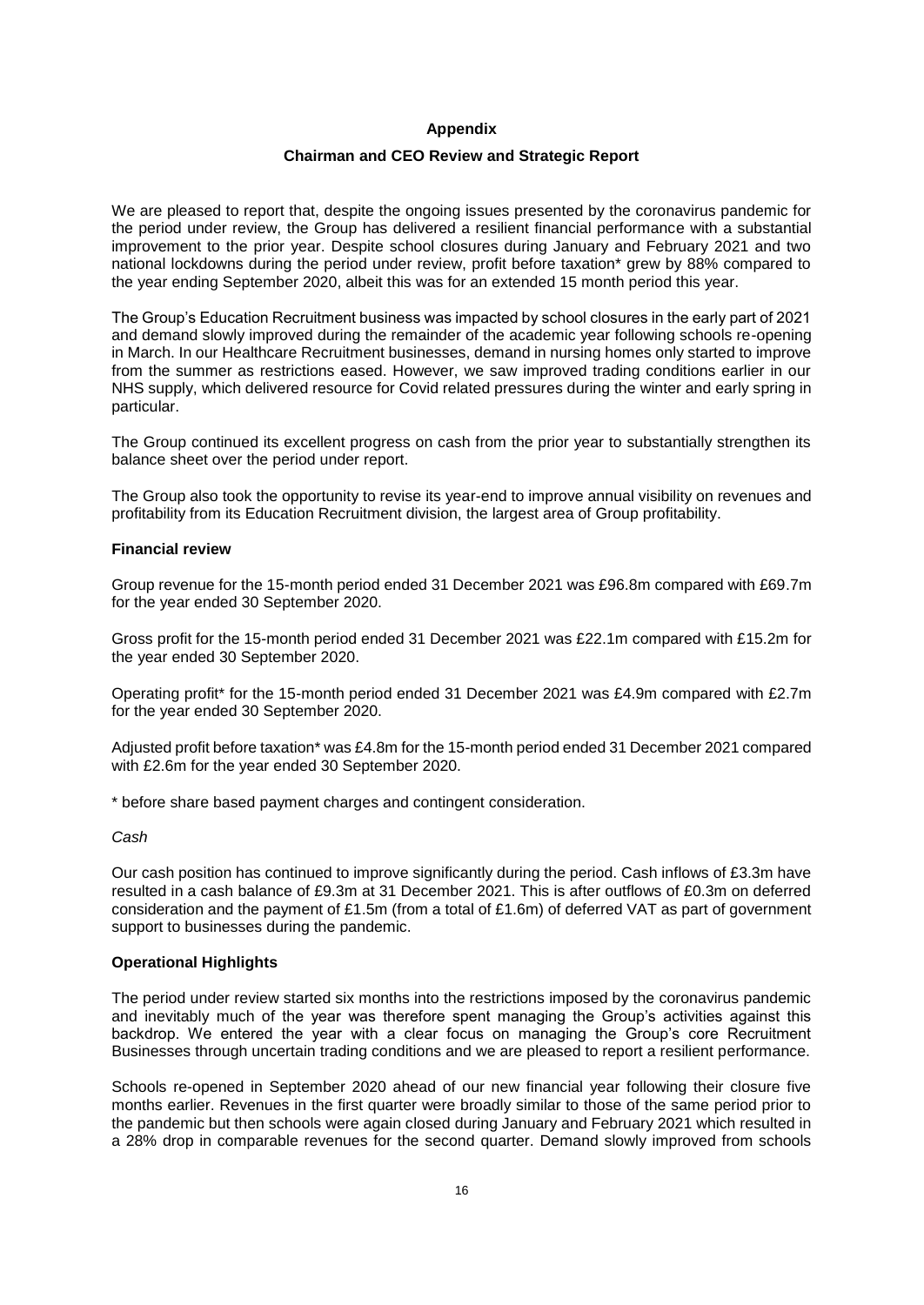#### **Appendix**

#### **Chairman and CEO Review and Strategic Report**

We are pleased to report that, despite the ongoing issues presented by the coronavirus pandemic for the period under review, the Group has delivered a resilient financial performance with a substantial improvement to the prior year. Despite school closures during January and February 2021 and two national lockdowns during the period under review, profit before taxation\* grew by 88% compared to the year ending September 2020, albeit this was for an extended 15 month period this year.

The Group's Education Recruitment business was impacted by school closures in the early part of 2021 and demand slowly improved during the remainder of the academic year following schools re-opening in March. In our Healthcare Recruitment businesses, demand in nursing homes only started to improve from the summer as restrictions eased. However, we saw improved trading conditions earlier in our NHS supply, which delivered resource for Covid related pressures during the winter and early spring in particular.

The Group continued its excellent progress on cash from the prior year to substantially strengthen its balance sheet over the period under report.

The Group also took the opportunity to revise its year-end to improve annual visibility on revenues and profitability from its Education Recruitment division, the largest area of Group profitability.

#### **Financial review**

Group revenue for the 15-month period ended 31 December 2021 was £96.8m compared with £69.7m for the year ended 30 September 2020.

Gross profit for the 15-month period ended 31 December 2021 was £22.1m compared with £15.2m for the year ended 30 September 2020.

Operating profit\* for the 15-month period ended 31 December 2021 was £4.9m compared with £2.7m for the year ended 30 September 2020.

Adjusted profit before taxation\* was £4.8m for the 15-month period ended 31 December 2021 compared with £2.6m for the year ended 30 September 2020.

\* before share based payment charges and contingent consideration.

*Cash*

Our cash position has continued to improve significantly during the period. Cash inflows of £3.3m have resulted in a cash balance of £9.3m at 31 December 2021. This is after outflows of £0.3m on deferred consideration and the payment of £1.5m (from a total of £1.6m) of deferred VAT as part of government support to businesses during the pandemic.

#### **Operational Highlights**

The period under review started six months into the restrictions imposed by the coronavirus pandemic and inevitably much of the year was therefore spent managing the Group's activities against this backdrop. We entered the year with a clear focus on managing the Group's core Recruitment Businesses through uncertain trading conditions and we are pleased to report a resilient performance.

Schools re-opened in September 2020 ahead of our new financial year following their closure five months earlier. Revenues in the first quarter were broadly similar to those of the same period prior to the pandemic but then schools were again closed during January and February 2021 which resulted in a 28% drop in comparable revenues for the second quarter. Demand slowly improved from schools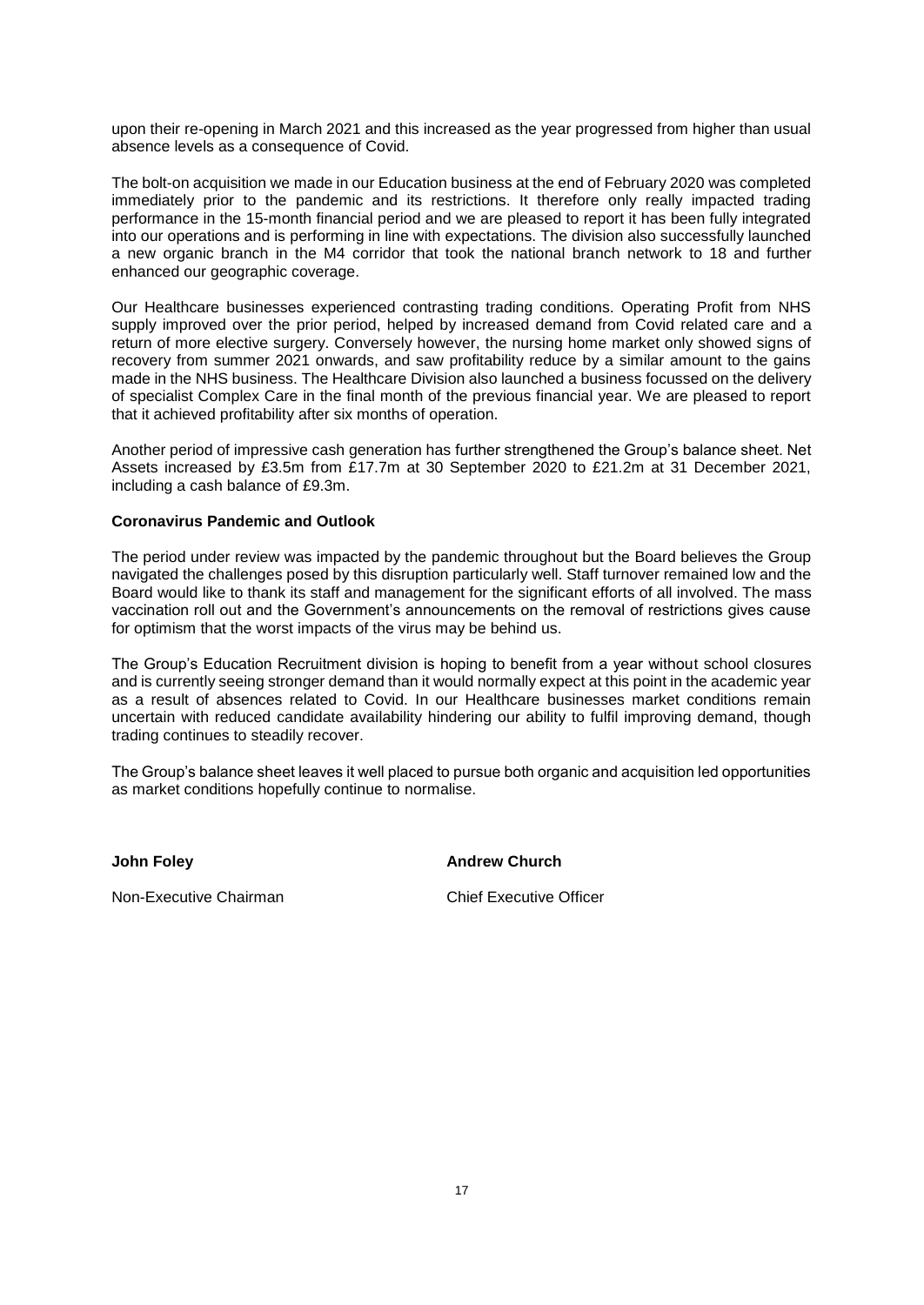upon their re-opening in March 2021 and this increased as the year progressed from higher than usual absence levels as a consequence of Covid.

The bolt-on acquisition we made in our Education business at the end of February 2020 was completed immediately prior to the pandemic and its restrictions. It therefore only really impacted trading performance in the 15-month financial period and we are pleased to report it has been fully integrated into our operations and is performing in line with expectations. The division also successfully launched a new organic branch in the M4 corridor that took the national branch network to 18 and further enhanced our geographic coverage.

Our Healthcare businesses experienced contrasting trading conditions. Operating Profit from NHS supply improved over the prior period, helped by increased demand from Covid related care and a return of more elective surgery. Conversely however, the nursing home market only showed signs of recovery from summer 2021 onwards, and saw profitability reduce by a similar amount to the gains made in the NHS business. The Healthcare Division also launched a business focussed on the delivery of specialist Complex Care in the final month of the previous financial year. We are pleased to report that it achieved profitability after six months of operation.

Another period of impressive cash generation has further strengthened the Group's balance sheet. Net Assets increased by £3.5m from £17.7m at 30 September 2020 to £21.2m at 31 December 2021, including a cash balance of £9.3m.

#### **Coronavirus Pandemic and Outlook**

The period under review was impacted by the pandemic throughout but the Board believes the Group navigated the challenges posed by this disruption particularly well. Staff turnover remained low and the Board would like to thank its staff and management for the significant efforts of all involved. The mass vaccination roll out and the Government's announcements on the removal of restrictions gives cause for optimism that the worst impacts of the virus may be behind us.

The Group's Education Recruitment division is hoping to benefit from a year without school closures and is currently seeing stronger demand than it would normally expect at this point in the academic year as a result of absences related to Covid. In our Healthcare businesses market conditions remain uncertain with reduced candidate availability hindering our ability to fulfil improving demand, though trading continues to steadily recover.

The Group's balance sheet leaves it well placed to pursue both organic and acquisition led opportunities as market conditions hopefully continue to normalise.

**John Foley Andrew Church** 

Non-Executive Chairman Chief Executive Officer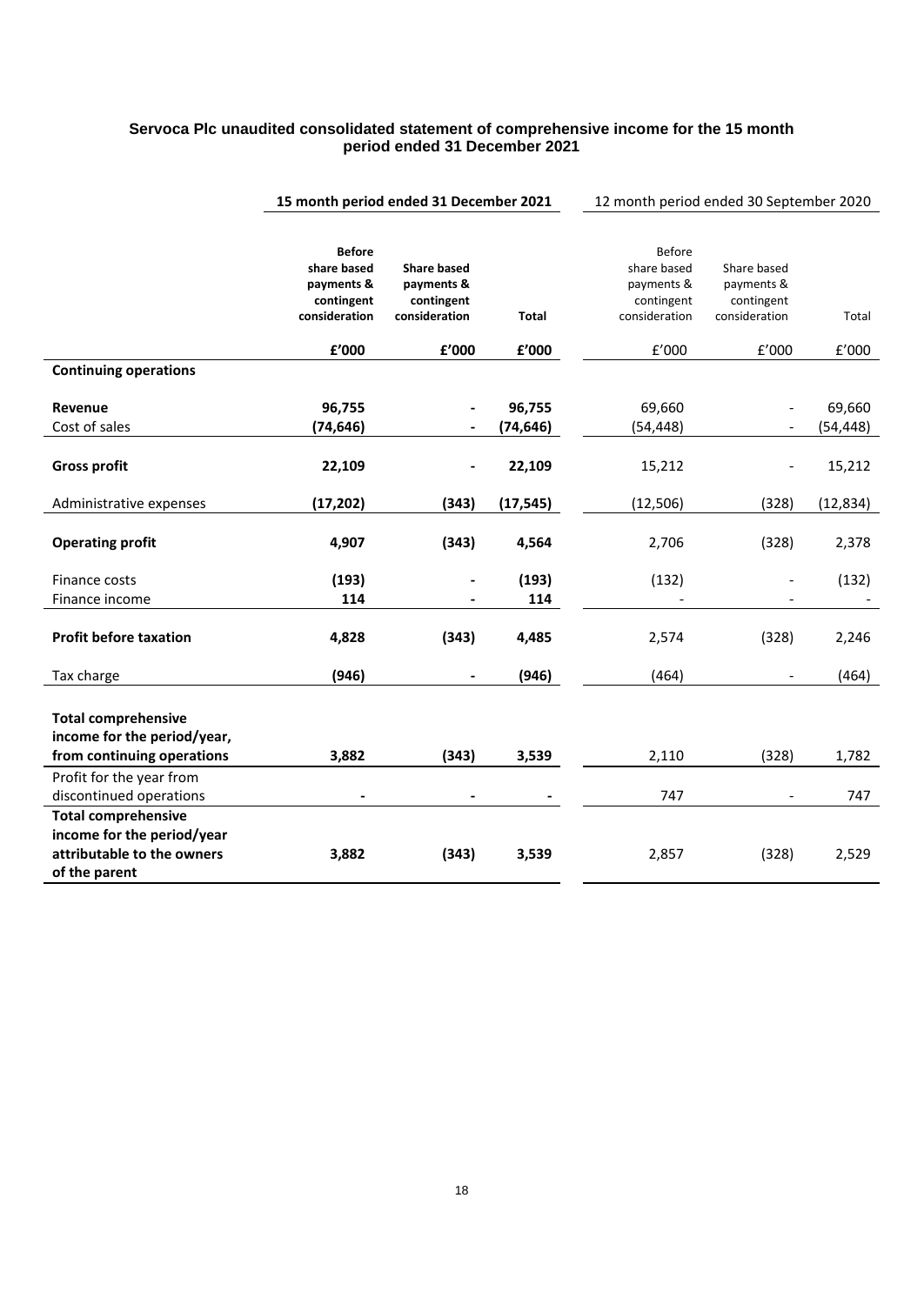# **Servoca Plc unaudited consolidated statement of comprehensive income for the 15 month period ended 31 December 2021**

|                                                                                                         | 15 month period ended 31 December 2021                                    |                                                                 | 12 month period ended 30 September 2020 |                                                                    |                                                          |                     |
|---------------------------------------------------------------------------------------------------------|---------------------------------------------------------------------------|-----------------------------------------------------------------|-----------------------------------------|--------------------------------------------------------------------|----------------------------------------------------------|---------------------|
|                                                                                                         | <b>Before</b><br>share based<br>payments &<br>contingent<br>consideration | <b>Share based</b><br>payments &<br>contingent<br>consideration | <b>Total</b>                            | Before<br>share based<br>payments &<br>contingent<br>consideration | Share based<br>payments &<br>contingent<br>consideration | Total               |
|                                                                                                         | ${\bf f}^{\prime}$ 000                                                    | £'000                                                           | ${\bf f}^{\prime}$ 000                  | $\rm{f}^{\prime}000$                                               | £'000                                                    | E'000               |
| <b>Continuing operations</b>                                                                            |                                                                           |                                                                 |                                         |                                                                    |                                                          |                     |
| Revenue<br>Cost of sales                                                                                | 96,755<br>(74, 646)                                                       |                                                                 | 96,755<br>(74, 646)                     | 69,660<br>(54, 448)                                                |                                                          | 69,660<br>(54, 448) |
| <b>Gross profit</b>                                                                                     | 22,109                                                                    |                                                                 | 22,109                                  | 15,212                                                             |                                                          | 15,212              |
| Administrative expenses                                                                                 | (17, 202)                                                                 | (343)                                                           | (17, 545)                               | (12, 506)                                                          | (328)                                                    | (12, 834)           |
| <b>Operating profit</b>                                                                                 | 4,907                                                                     | (343)                                                           | 4,564                                   | 2,706                                                              | (328)                                                    | 2,378               |
| Finance costs                                                                                           | (193)                                                                     |                                                                 | (193)                                   | (132)                                                              |                                                          | (132)               |
| Finance income                                                                                          | 114                                                                       |                                                                 | 114                                     |                                                                    |                                                          |                     |
| <b>Profit before taxation</b>                                                                           | 4,828                                                                     | (343)                                                           | 4,485                                   | 2,574                                                              | (328)                                                    | 2,246               |
| Tax charge                                                                                              | (946)                                                                     |                                                                 | (946)                                   | (464)                                                              |                                                          | (464)               |
| <b>Total comprehensive</b><br>income for the period/year,<br>from continuing operations                 | 3,882                                                                     | (343)                                                           | 3,539                                   | 2,110                                                              | (328)                                                    | 1,782               |
| Profit for the year from                                                                                |                                                                           |                                                                 |                                         |                                                                    |                                                          |                     |
| discontinued operations                                                                                 |                                                                           |                                                                 |                                         | 747                                                                |                                                          | 747                 |
| <b>Total comprehensive</b><br>income for the period/year<br>attributable to the owners<br>of the parent | 3,882                                                                     | (343)                                                           | 3,539                                   | 2,857                                                              | (328)                                                    | 2,529               |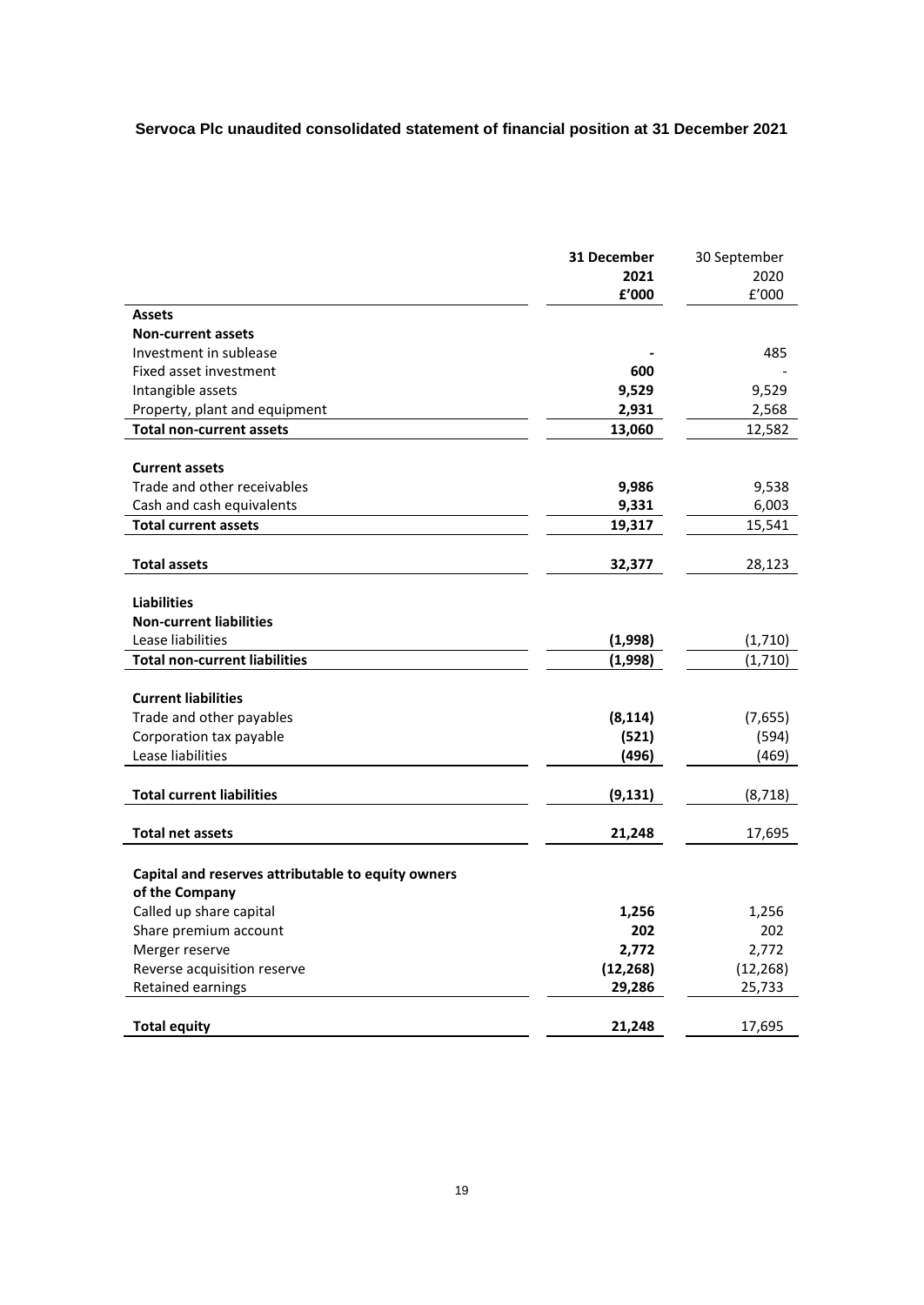# **Servoca Plc unaudited consolidated statement of financial position at 31 December 2021**

| 31 December                                        | 30 September |
|----------------------------------------------------|--------------|
| 2021                                               | 2020         |
| £'000                                              | f'000        |
| Assets                                             |              |
| <b>Non-current assets</b>                          |              |
| Investment in sublease                             | 485          |
| Fixed asset investment<br>600                      |              |
| 9,529<br>Intangible assets                         | 9,529        |
| 2,931<br>Property, plant and equipment             | 2,568        |
| <b>Total non-current assets</b><br>13,060          | 12,582       |
|                                                    |              |
| <b>Current assets</b>                              |              |
| Trade and other receivables<br>9,986               | 9,538        |
| Cash and cash equivalents<br>9,331                 | 6,003        |
| <b>Total current assets</b><br>19,317              | 15,541       |
| <b>Total assets</b><br>32,377                      | 28,123       |
| <b>Liabilities</b>                                 |              |
| <b>Non-current liabilities</b>                     |              |
| Lease liabilities<br>(1,998)                       | (1,710)      |
| <b>Total non-current liabilities</b><br>(1,998)    | (1,710)      |
|                                                    |              |
| <b>Current liabilities</b>                         |              |
| Trade and other payables<br>(8, 114)               | (7,655)      |
| Corporation tax payable<br>(521)                   | (594)        |
| Lease liabilities<br>(496)                         | (469)        |
| <b>Total current liabilities</b><br>(9, 131)       | (8, 718)     |
| <b>Total net assets</b><br>21,248                  | 17,695       |
|                                                    |              |
| Capital and reserves attributable to equity owners |              |
| of the Company                                     |              |
| Called up share capital<br>1,256                   | 1,256        |
| 202<br>Share premium account                       | 202          |
| 2,772<br>Merger reserve                            | 2,772        |
| (12, 268)<br>Reverse acquisition reserve           | (12, 268)    |
| Retained earnings<br>29,286                        | 25,733       |
| <b>Total equity</b><br>21,248                      | 17,695       |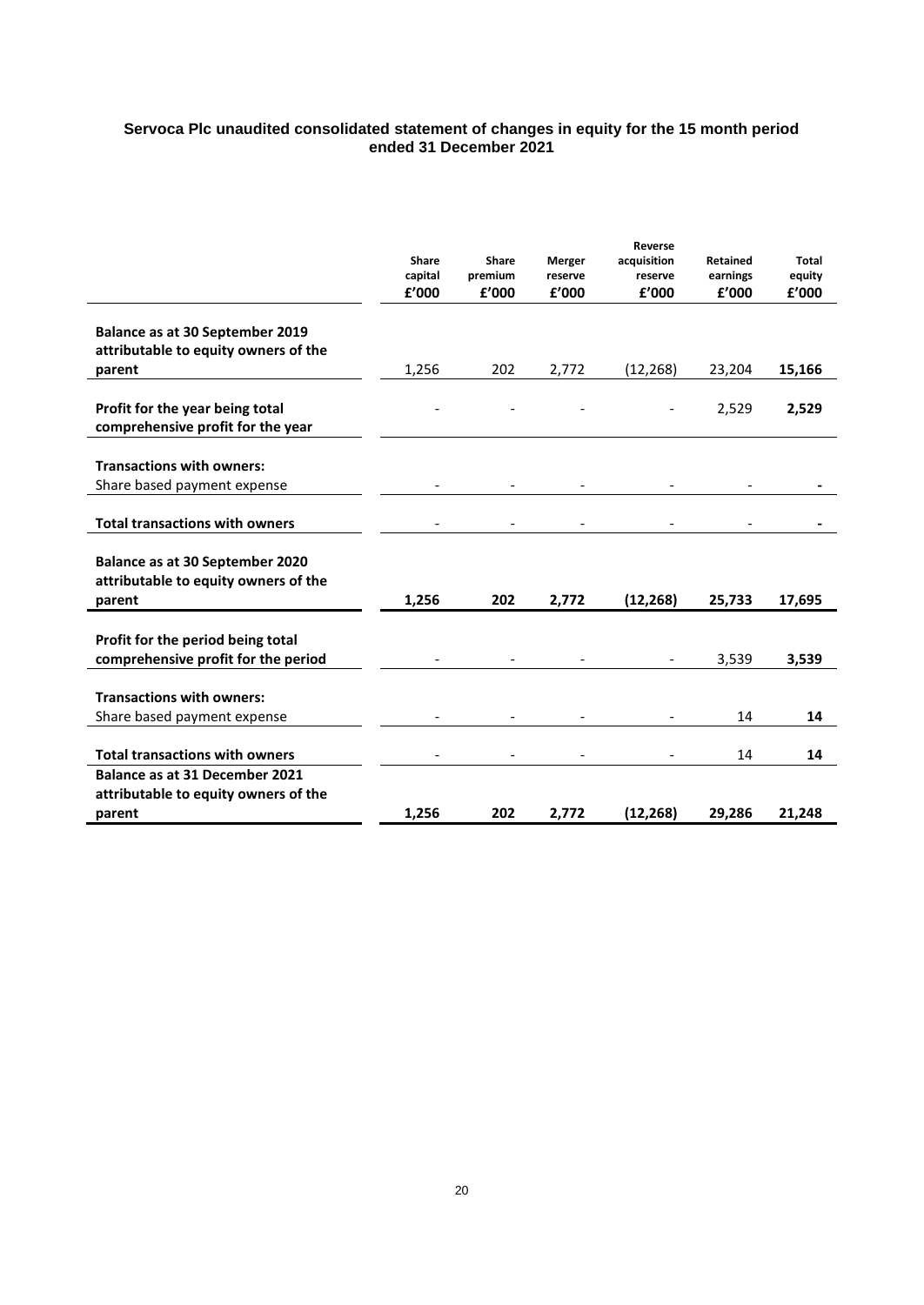#### **Servoca Plc unaudited consolidated statement of changes in equity for the 15 month period ended 31 December 2021**

|                                                                                   | <b>Share</b><br>capital | Share<br>premium | Merger<br>reserve | Reverse<br>acquisition<br>reserve | Retained<br>earnings | <b>Total</b><br>equity |
|-----------------------------------------------------------------------------------|-------------------------|------------------|-------------------|-----------------------------------|----------------------|------------------------|
|                                                                                   | £'000                   | £'000            | £'000             | £'000                             | £'000                | £'000                  |
| Balance as at 30 September 2019<br>attributable to equity owners of the           |                         |                  |                   |                                   |                      |                        |
| parent                                                                            | 1.256                   | 202              | 2,772             | (12, 268)                         | 23,204               | 15,166                 |
| Profit for the year being total<br>comprehensive profit for the year              |                         |                  |                   |                                   | 2,529                | 2,529                  |
| <b>Transactions with owners:</b><br>Share based payment expense                   |                         |                  |                   |                                   |                      |                        |
| <b>Total transactions with owners</b>                                             |                         |                  |                   |                                   |                      |                        |
| Balance as at 30 September 2020<br>attributable to equity owners of the<br>parent | 1,256                   | 202              | 2,772             | (12, 268)                         | 25,733               | 17,695                 |
|                                                                                   |                         |                  |                   |                                   |                      |                        |
| Profit for the period being total<br>comprehensive profit for the period          |                         |                  |                   | $\overline{\phantom{a}}$          | 3,539                | 3,539                  |
| <b>Transactions with owners:</b><br>Share based payment expense                   |                         |                  |                   |                                   | 14                   | 14                     |
|                                                                                   |                         |                  |                   |                                   |                      |                        |
| <b>Total transactions with owners</b>                                             |                         |                  |                   |                                   | 14                   | 14                     |
| Balance as at 31 December 2021                                                    |                         |                  |                   |                                   |                      |                        |
| attributable to equity owners of the<br>parent                                    | 1,256                   | 202              | 2,772             | (12, 268)                         | 29,286               | 21,248                 |